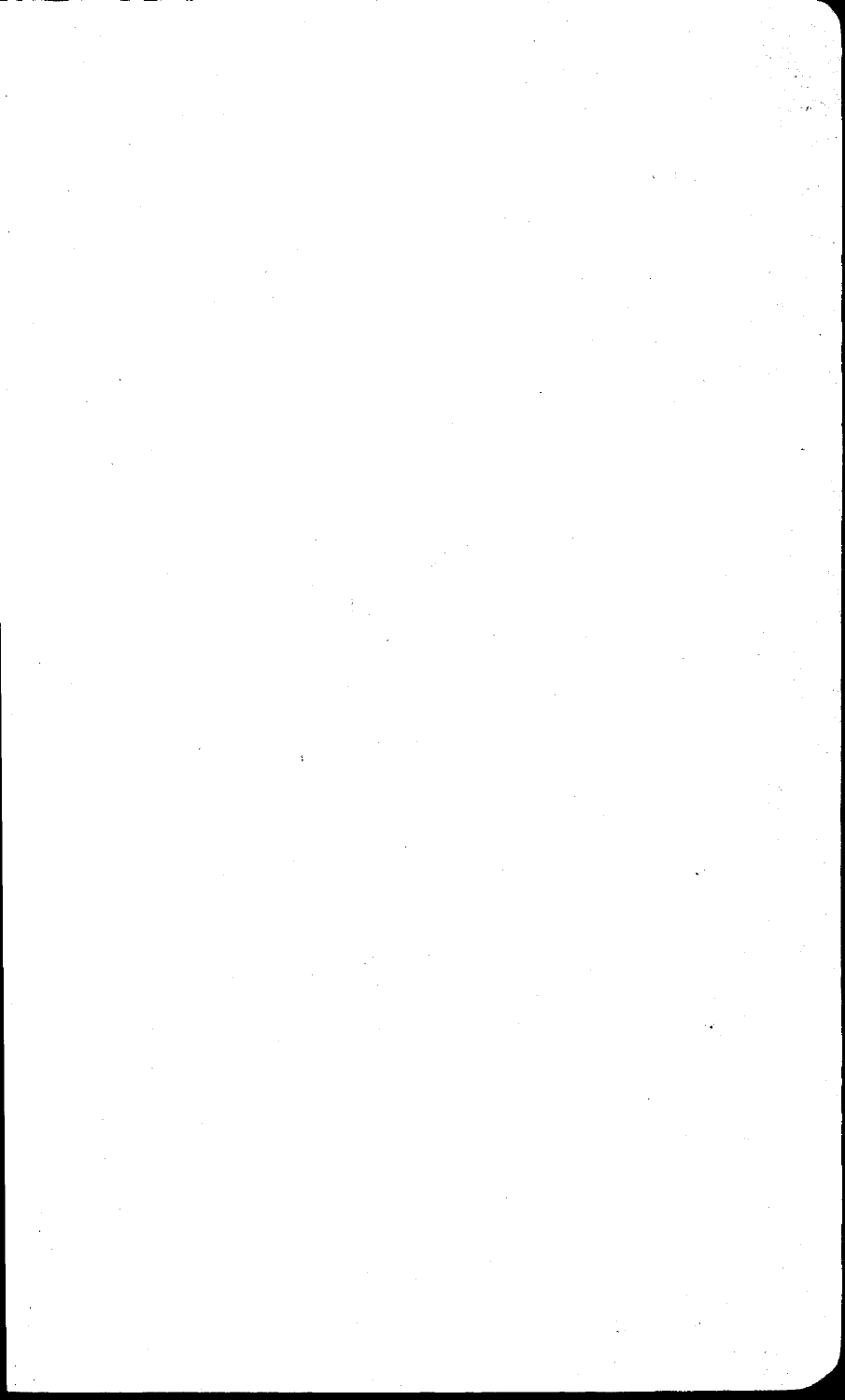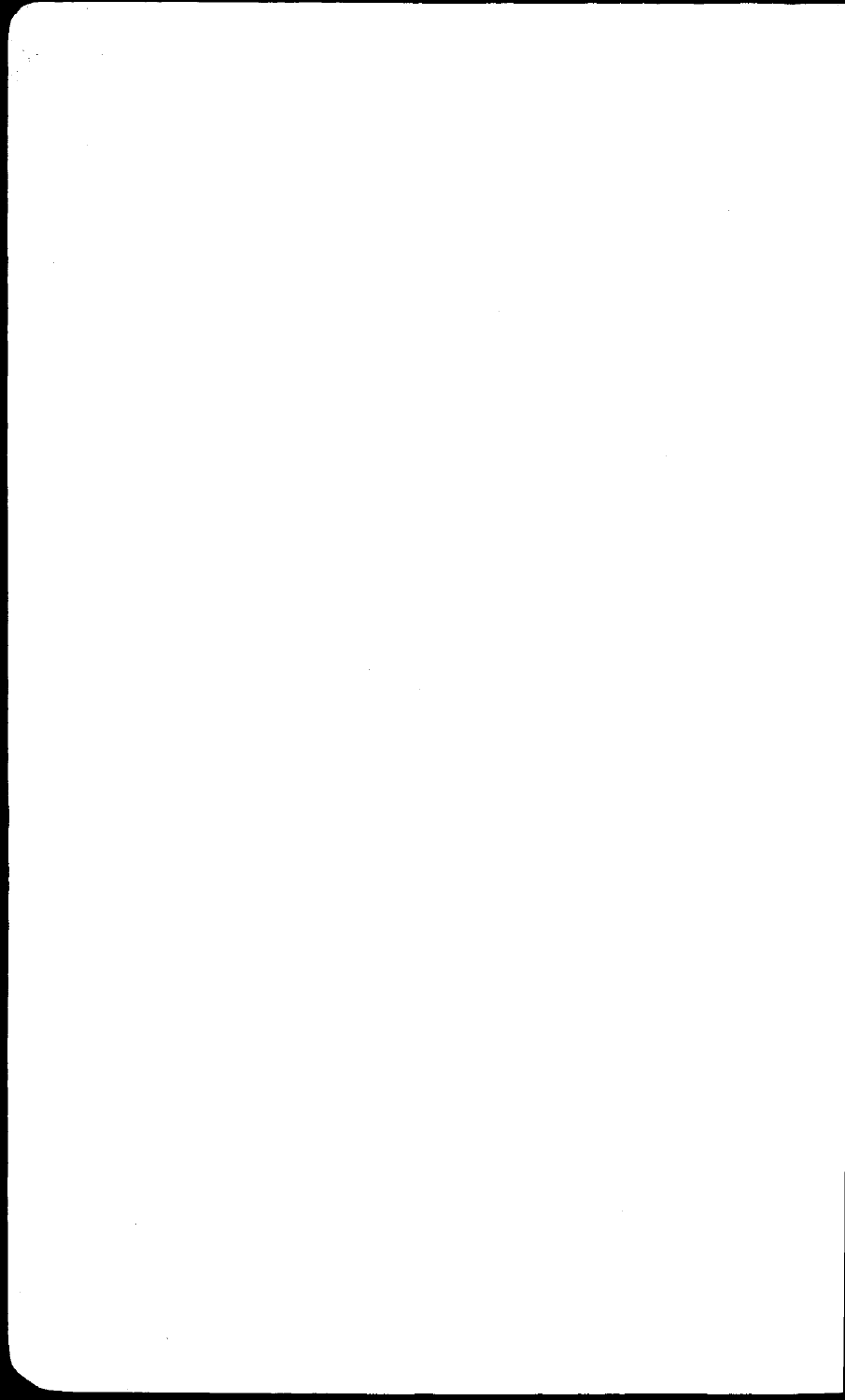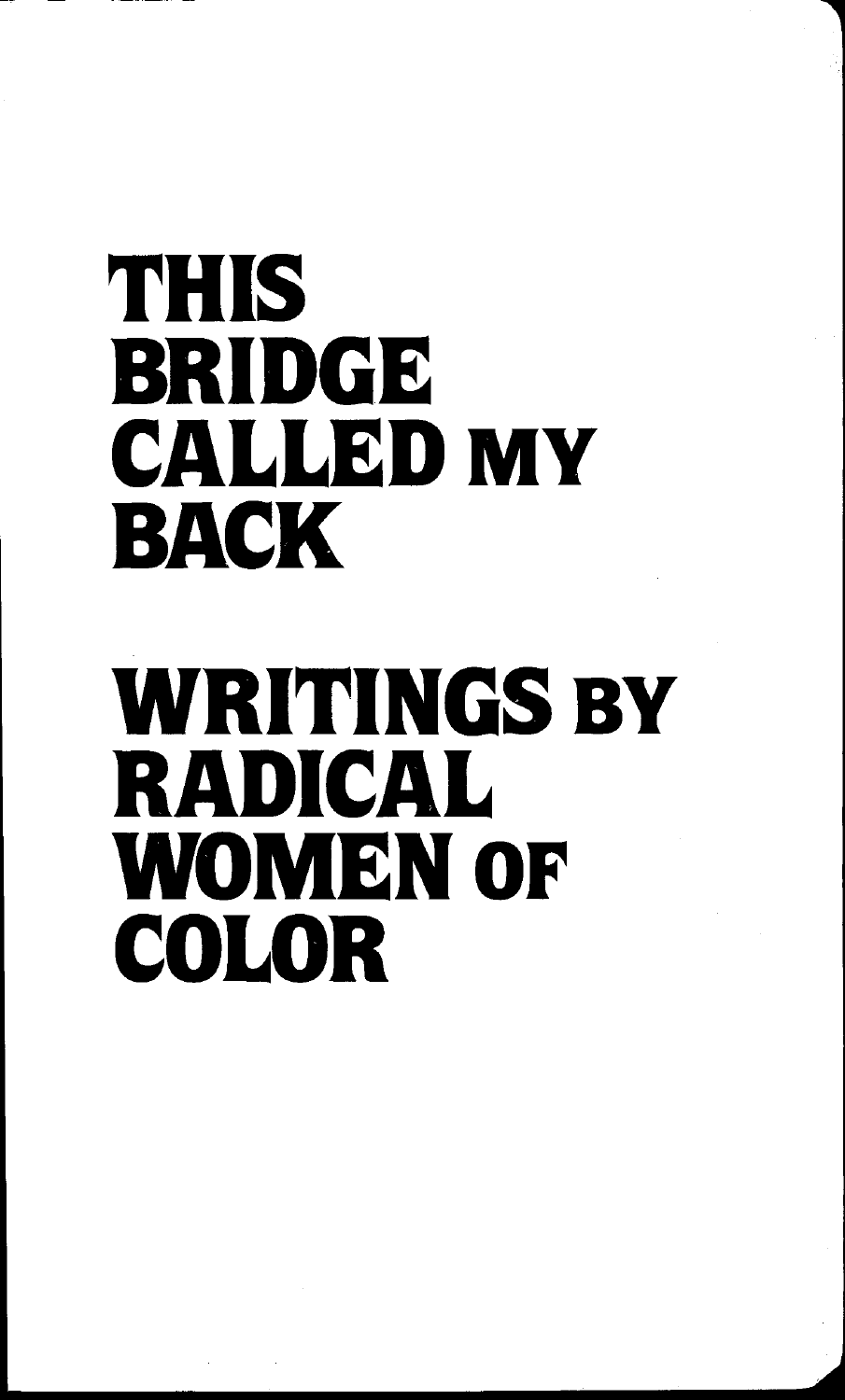# **THIS BRIDGE CALLED MY BACK**

# **WRITINGS BY RADICAL WOMEN OF COLOR**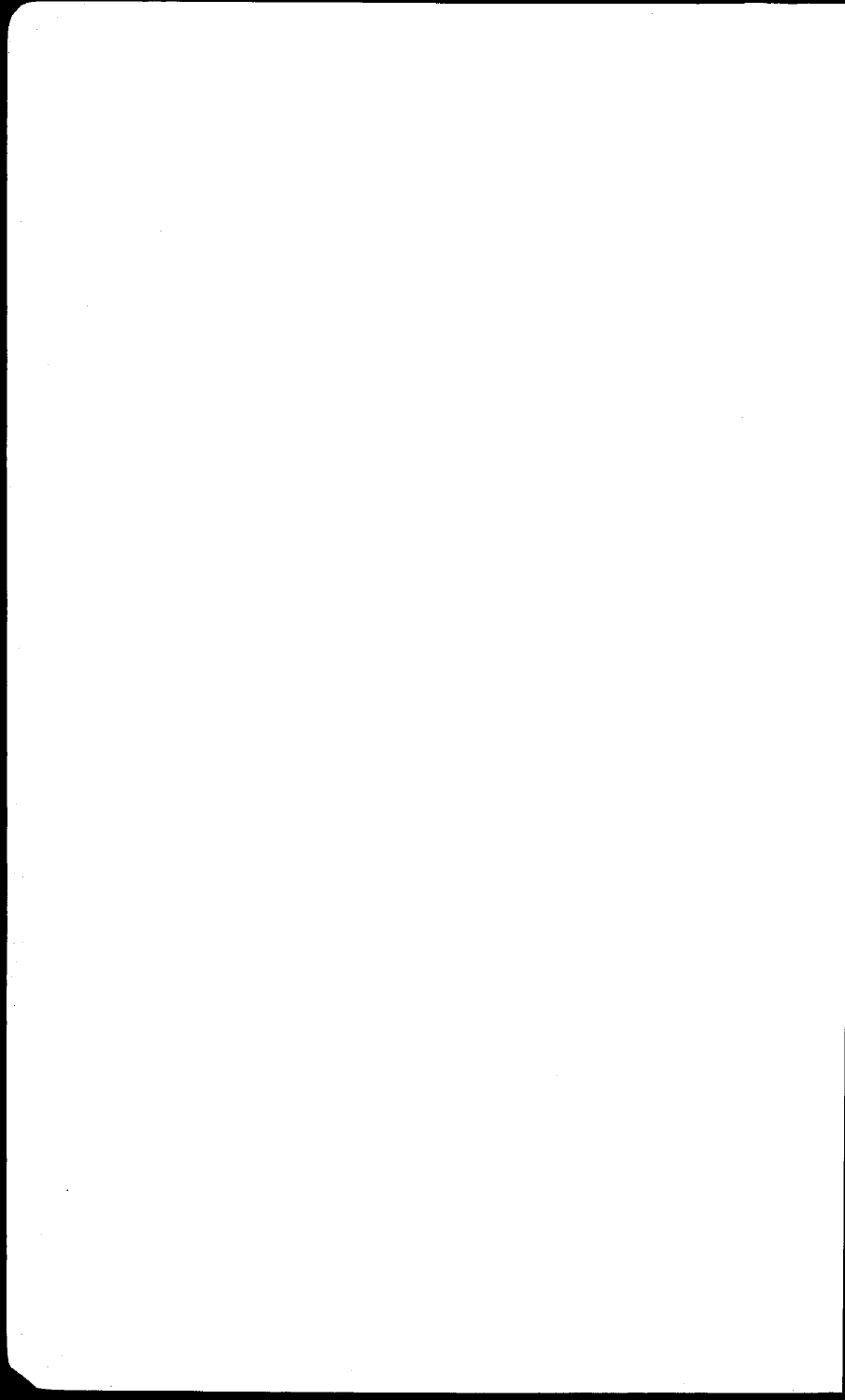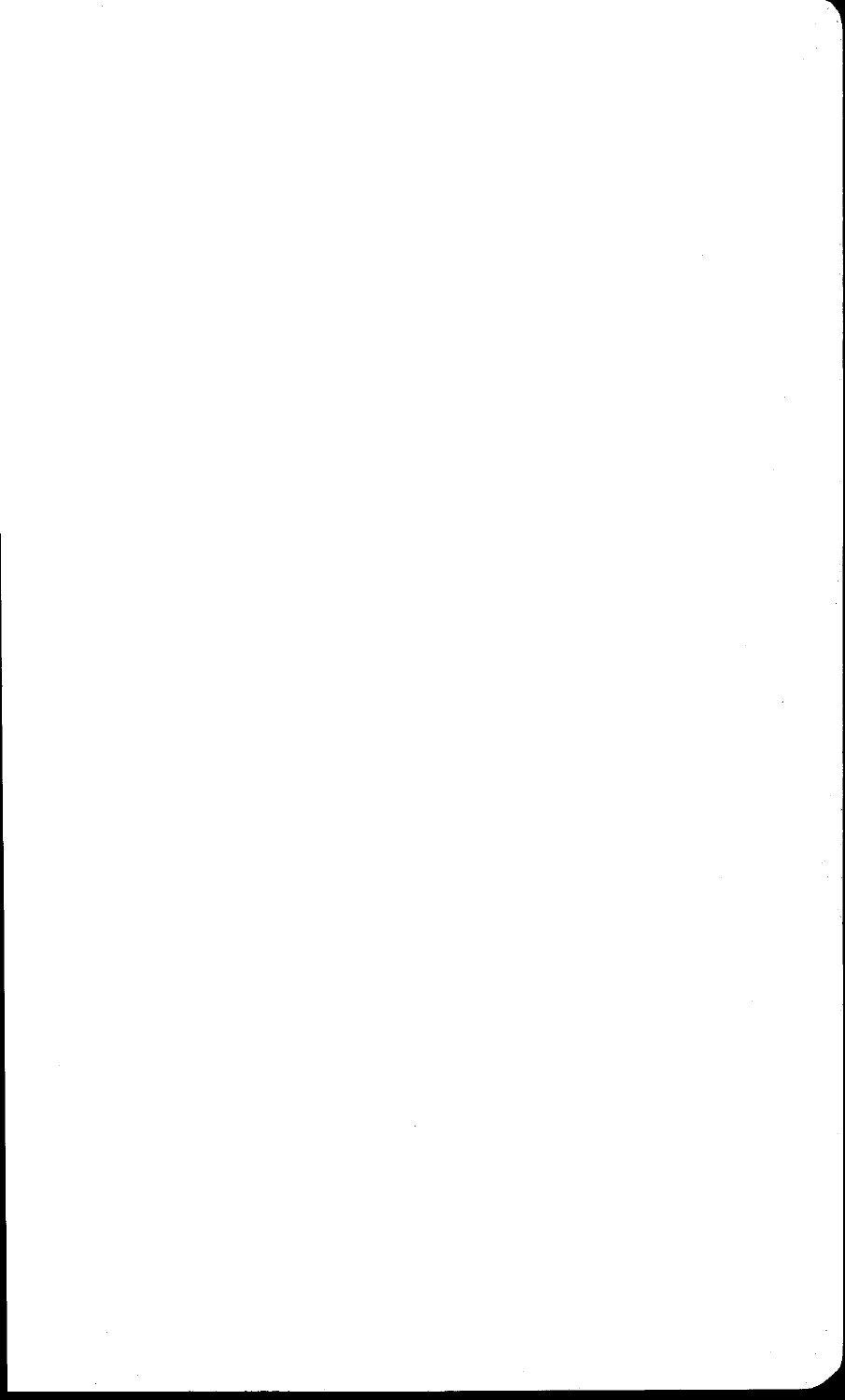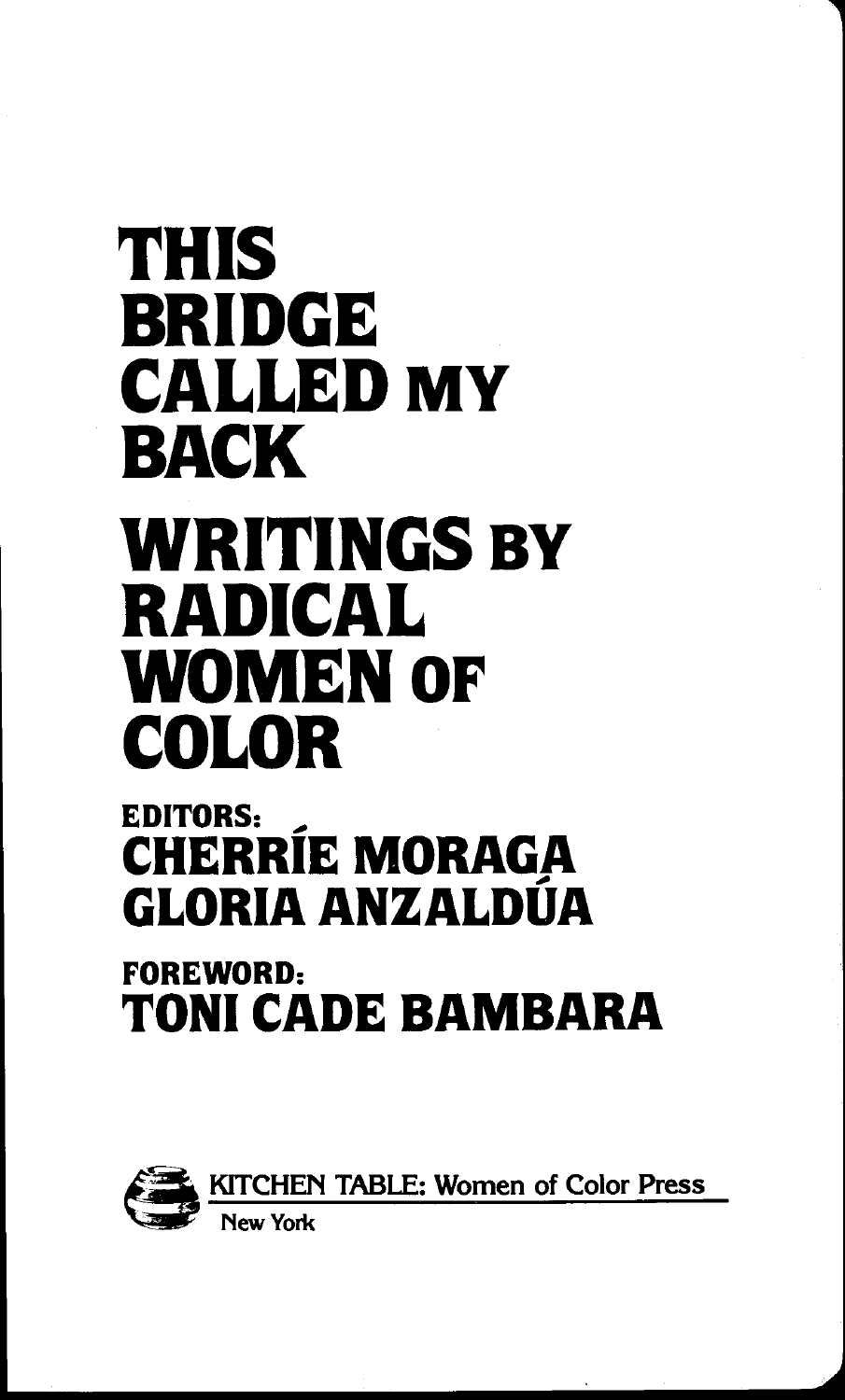# **THIS BRIDGE CALLED MY BACK WRITINGS BY RADICAL WOMEN OF COLOR**

# **EDITORS CHERRÍE MORAGA GLORIA ANZALDUA**

# **FOREWORD: TONI CADE BAMBARA**



KITCHEN TABLE: **Women of Color Press New York**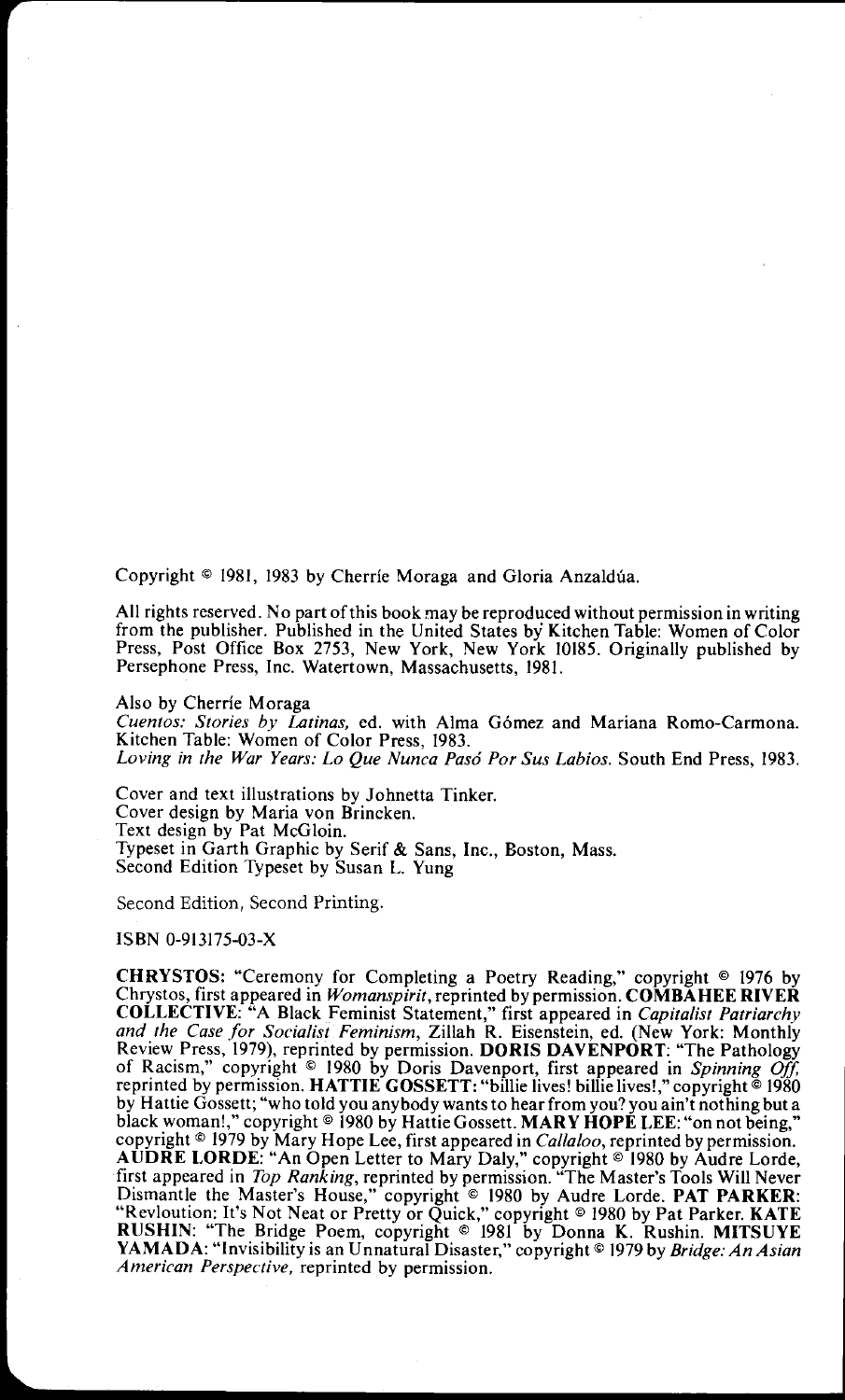Copyright © 1981, 1983 by Cherríe Moraga and Gloria Anzaldúa.

All rights reserved. No part of this book may be reproduced without permission in writing from the publisher. Published in the United States by Kitchen Table: Women of Color Press, Post Office Box 2753, New York, New York 10185. Originally published by Persephone Press, Inc. Watertown, Massachusetts, 1981.

Also by Cherrie Moraga

*Cuentos: Stories by Latinas,* ed. with Alma Gomez and Mariana Romo-Carmona. Kitchen Table: Women of Color Press, 1983. *Loving in the War Years: Lo Que Nunca Paso Por Sus Labios.* South End Press, 1983.

Cover and text illustrations by Johnetta Tinker. Cover design by Maria von Brincken. Text design by Pat McGloin. Typeset in Garth Graphic by Serif & Sans, Inc., Boston, Mass. Second Edition Typeset by Susan L. Yung

Second Edition, Second Printing.

ISBN 0-913175-03-X

**CHRYSTOS:** "Ceremony for Completing a Poetry Reading," copyright © 1976 by Chrystos, first appeared in *Womanspirit,* reprinted by permission. **COMBAHEE RIVER COLLECTIVE:** "A Black Feminist Statement," first appeared in *Capitalist Patriarchy and the Case for Socialist Feminism,* Zillah R. Eisenstein, ed. (New York: Monthly Review Press, 1979), reprinted by permission. **DORIS DAVENPORT:** "The Pathology of Racism," copyright © 1980 by Doris Davenport, first appeared in *Spinning Off* reprinted by permission. **HATTIE GOSSETT:** "billie lives! billie lives!," copyright <sup>®</sup> 1980<br>by Hattie Gossett; "who told you anybody wants to hear from you? you ain't nothing but a by Hattie Gossett; "who told you anybody wants to hear from you? you ain't nothing but a<br>black woman!," copyright © 1980 by Hattie Gossett. **MARY HOPE LEE**: "on not being,"<br>copyright © 1979 by Mary Hope Lee, first appeared Dismantle the Master's House," copyright © 1980 by Audre Lorde. PAT PARKER:<br>"Revloution: It's Not Neat or Pretty or Quick," copyright © 1980 by Pat Parker. KATE<br>RUSHIN: "The Bridge Poem, copyright © 1981 by Donna K. Rushin **YAMADA:** "Invisibility is an Unnatural Disaster," copyright © 1979 by *Bridge: An Asian American Perspective,* reprinted by permission.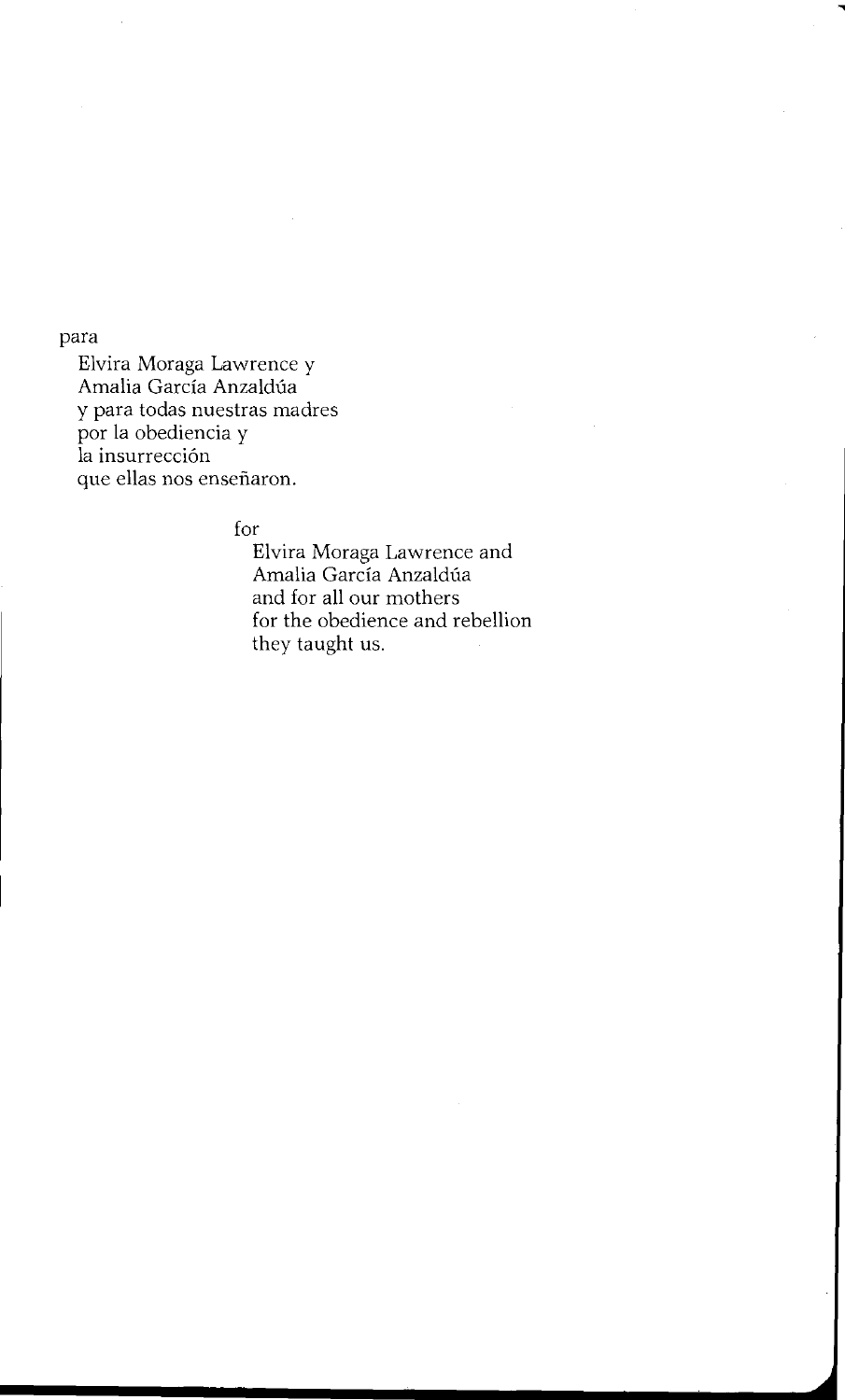para

Elvira Moraga Lawrence y Amalia García Anzaldúa y para todas nuestras madres por la obediencia y la insurrección que ellas nos ensefiaron.

for

Elvira Moraga Lawrence and Amalia García Anzaldúa and for all our mothers for the obedience and rebellion they taught us.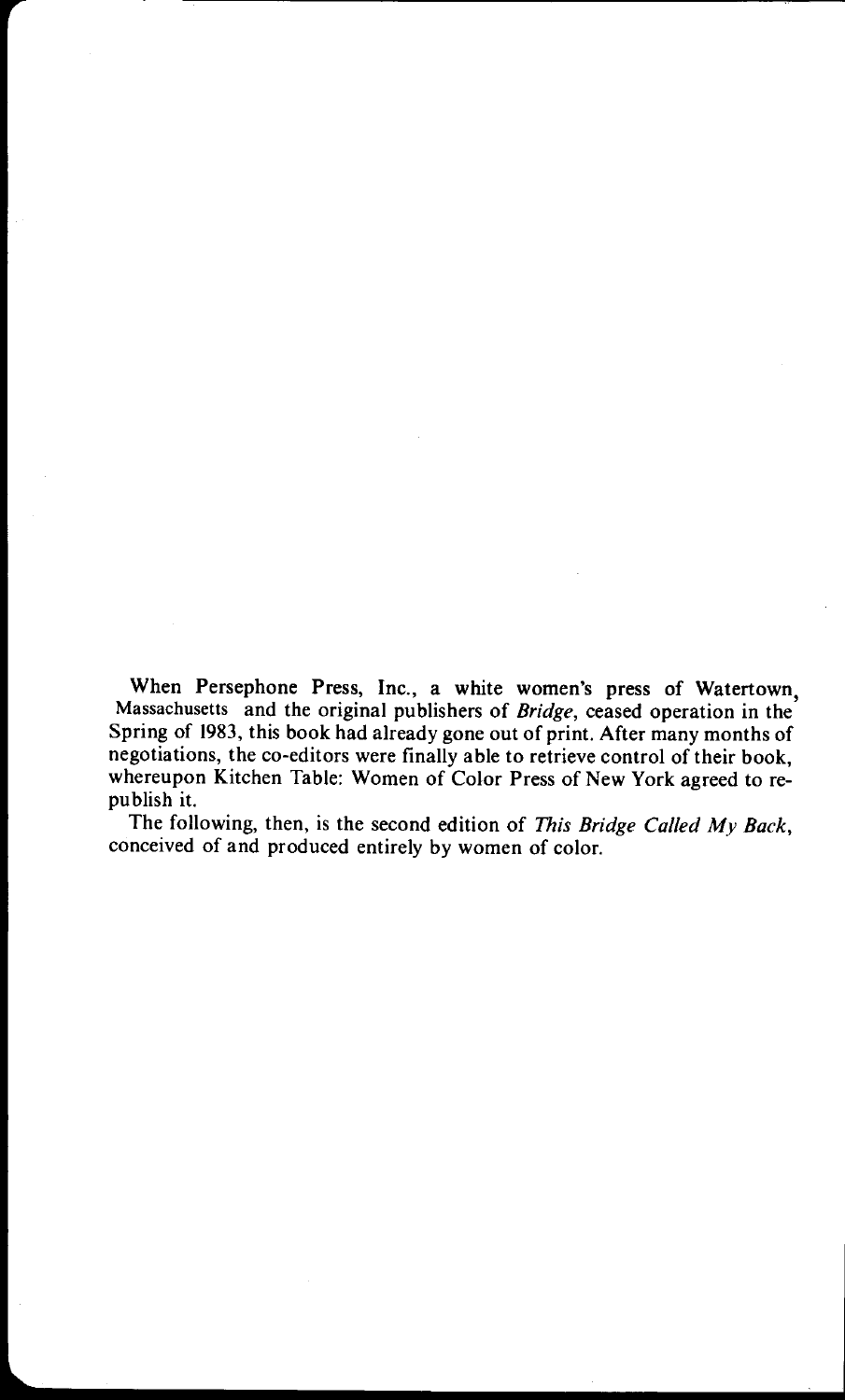When Persephone Press, Inc., a white women's press of Watertown, Massachusetts and the original publishers of *Bridge,* ceased operation in the Spring of 1983, this book had already gone out of print. After many months of negotiations, the co-editors were finally able to retrieve control of their book, whereupon Kitchen Table: Women of Color Press of New York agreed to republish it.

The following, then, is the second edition of *This Bridge Called My Back,* conceived of and produced entirely by women of color.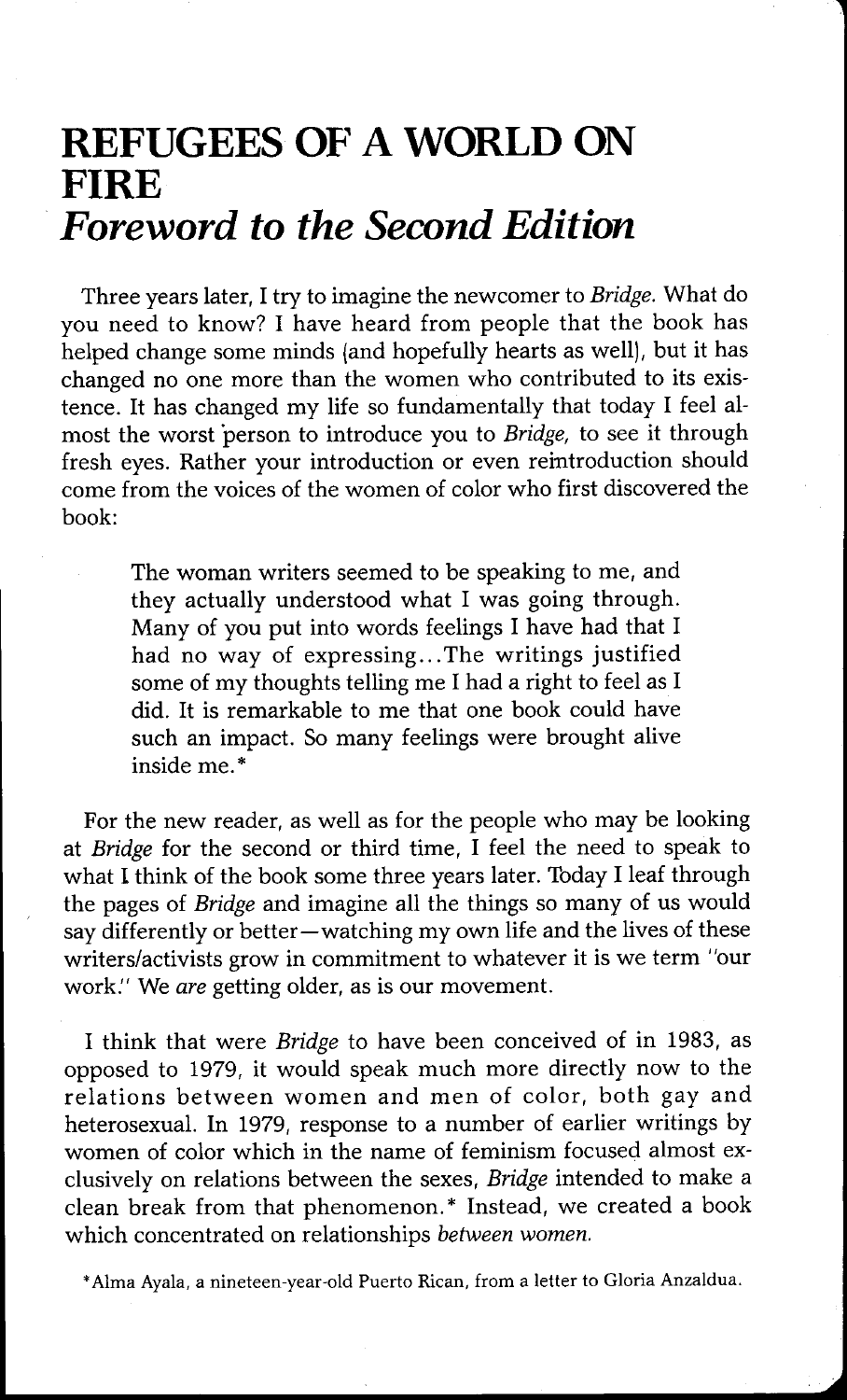# **REFUGEES OF A WORLD ON FIRE** *Foreword to the Second Edition*

Three years later, I try to imagine the newcomer to *Bridge.* What do you need to know? I have heard from people that the book has helped change some minds (and hopefully hearts as well), but it has changed no one more than the women who contributed to its existence. It has changed my life so fundamentally that today I feel almost the worst person to introduce you to *Bridge,* to see it through fresh eyes. Rather your introduction or even reintroduction should come from the voices of the women of color who first discovered the book:

> The woman writers seemed to be speaking to me, and they actually understood what I was going through. Many of you put into words feelings I have had that I had no way of expressing...The writings justified some of my thoughts telling me I had a right to feel as I did. It is remarkable to me that one book could have such an impact. So many feelings were brought alive inside me. \*

For the new reader, as well as for the people who may be looking at *Bridge* for the second or third time, I feel the need to speak to what I think of the book some three years later. Today I leaf through the pages of *Bridge* and imagine all the things so many of us would say differently or better—watching my own life and the lives of these writers/activists grow in commitment to whatever it is we term "our work!' We *are* getting older, as is our movement.

I think that were *Bridge* to have been conceived of in 1983, as opposed to 1979, it would speak much more directly now to the relations between women and men of color, both gay and heterosexual. In 1979, response to a number of earlier writings by women of color which in the name of feminism focused almost exclusively on relations between the sexes, *Bridge* intended to make a clean break from that phenomenon.\* Instead, we created a book which concentrated on relationships *between women.*

\*Alma Ayala, a nineteen-year-old Puerto Rican, from a letter to Gloria Anzaldua.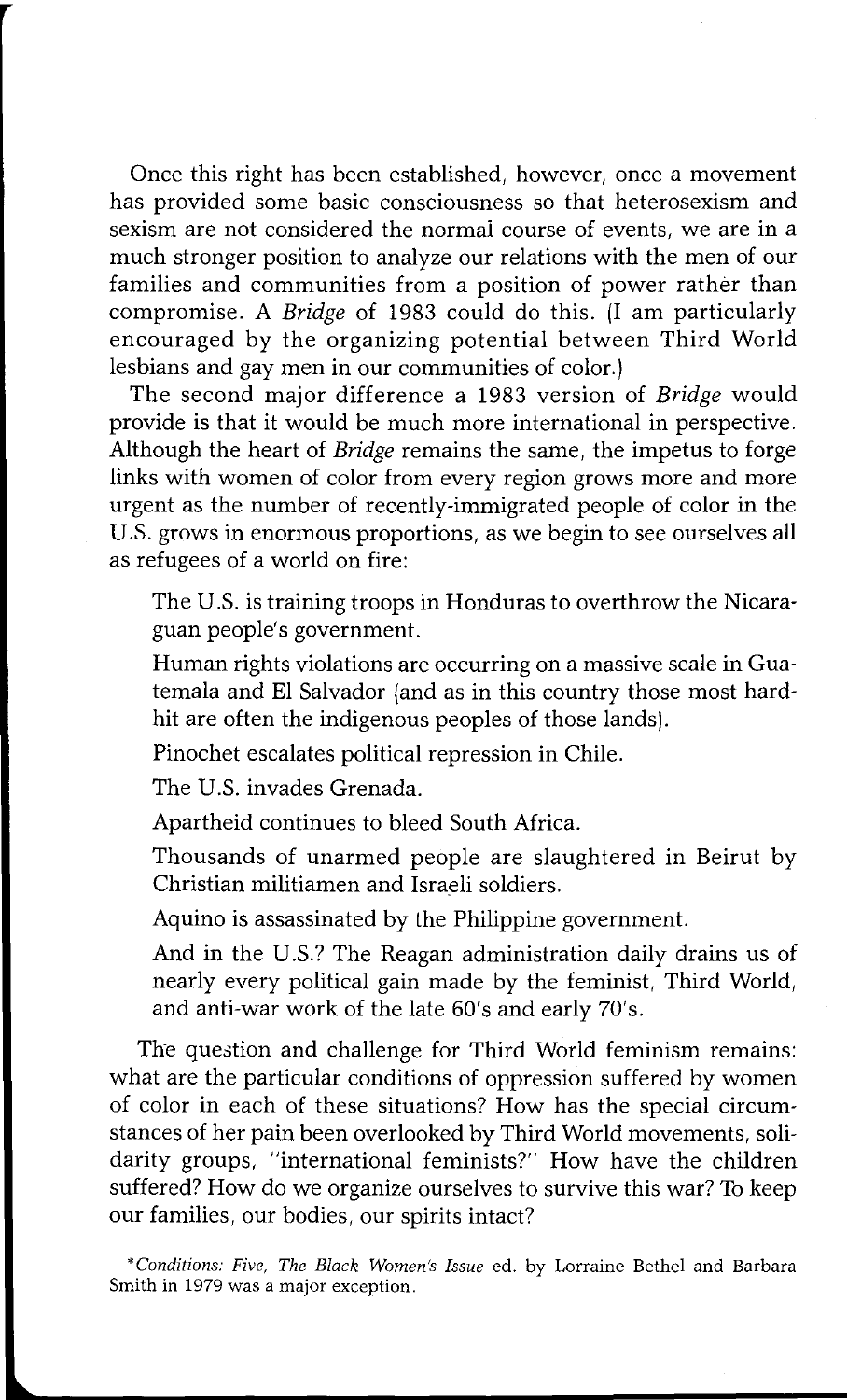Once this right has been established, however, once a movement has provided some basic consciousness so that heterosexism and sexism are not considered the normal course of events, we are in a much stronger position to analyze our relations with the men of our families and communities from a position of power rather than compromise. A *Bridge* of 1983 could do this. (I am particularly encouraged by the organizing potential between Third World lesbians and gay men in our communities of color.)

The second major difference a 1983 version of *Bridge* would provide is that it would be much more international in perspective. Although the heart of *Bridge* remains the same, the impetus to forge links with women of color from every region grows more and more urgent as the number of recently-immigrated people of color in the U.S. grows in enormous proportions, as we begin to see ourselves all as refugees of a world on fire:

The U.S. is training troops in Honduras to overthrow the Nicaraguan people's government.

Human rights violations are occurring on a massive scale in Guatemala and El Salvador (and as in this country those most hardhit are often the indigenous peoples of those lands).

Pinochet escalates political repression in Chile.

The U.S. invades Grenada.

Apartheid continues to bleed South Africa.

Thousands of unarmed people are slaughtered in Beirut by Christian militiamen and Israeli soldiers.

Aquino is assassinated by the Philippine government.

And in the U.S.? The Reagan administration daily drains us of nearly every political gain made by the feminist, Third World, and anti-war work of the late 60's and early 70's.

The question and challenge for Third World feminism remains: what are the particular conditions of oppression suffered by women of color in each of these situations? How has the special circumstances of her pain been overlooked by Third World movements, solidarity groups, "international feminists?" How have the children suffered? How do we organize ourselves to survive this war? To keep our families, our bodies, our spirits intact?

*\*Conditions: Five, The Black Women's Issue* ed. by Lorraine Bethel and Barbara Smith in 1979 was a major exception.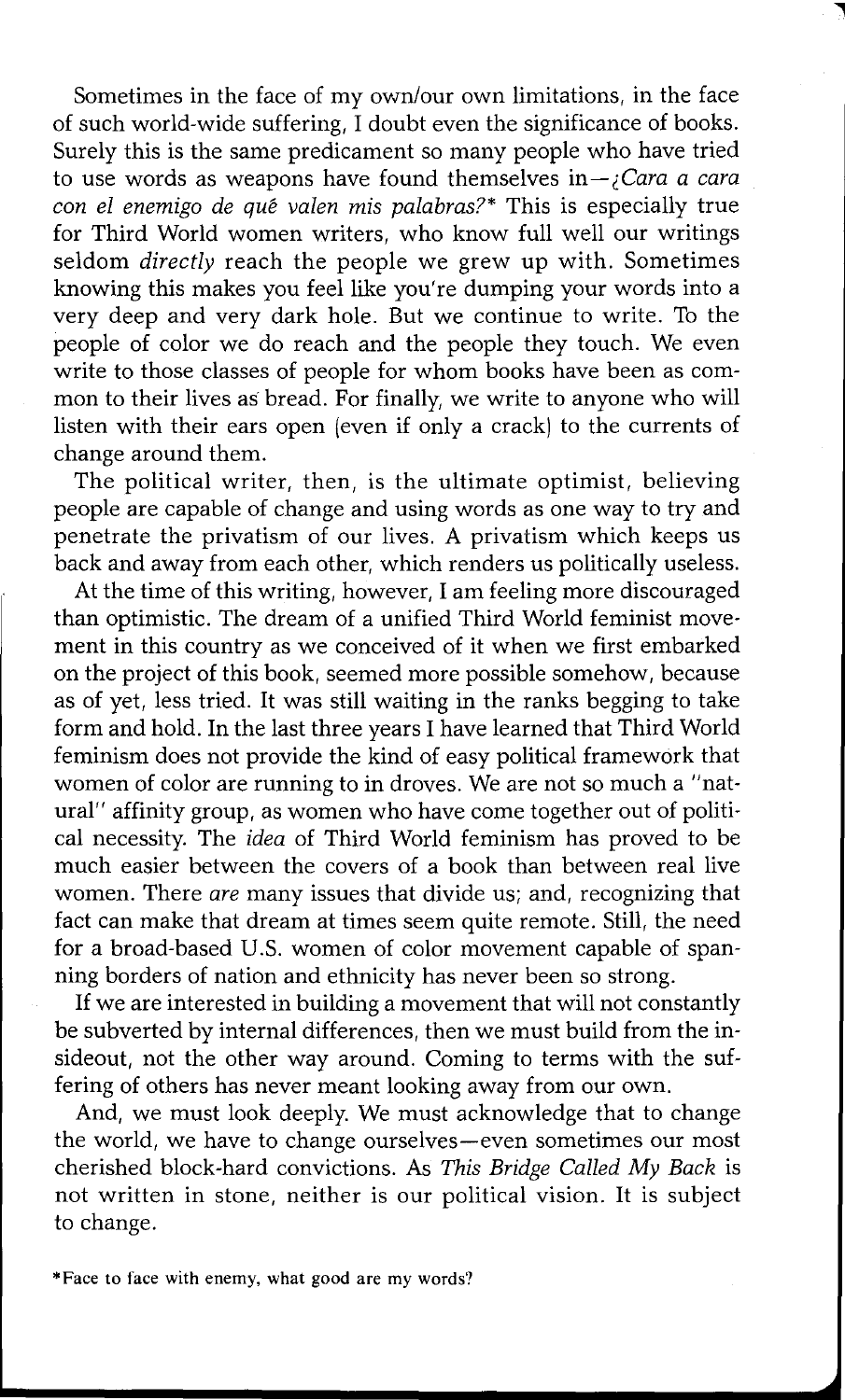Sometimes in the face of my own/our own limitations, in the face of such world-wide suffering. I doubt even the significance of books. Surely this is the same predicament so many people who have tried to use words as weapons have found themselves *in—Cara a cara con el enemigo de quê valen mis palabras?\** This is especially true for Third World women writers, who know full well our writings seldom *directly* reach the people we grew up with. Sometimes knowing this makes you feel like you're dumping your words into a very deep and very dark hole. But we continue to write. To the people of color we do reach and the people they touch. We even write to those classes of people for whom books have been as common to their lives as bread. For finally, we write to anyone who will listen with their ears open (even if only a crack) to the currents of change around them.

The political writer, then, is the ultimate optimist, believing people are capable of change and using words as one way to try and penetrate the privatism of our lives. A privatism which keeps us back and away from each other, which renders us politically useless.

At the time of this writing, however, I am feeling more discouraged than optimistic. The dream of a unified Third World feminist movement in this country as we conceived of it when we first embarked on the project of this book, seemed more possible somehow, because as of yet, less tried. It was still waiting in the ranks begging to take form and hold. In the last three years I have learned that Third World feminism does not provide the kind of easy political framework that women of color are running to in droves. We are not so much a "natural" affinity group, as women who have come together out of political necessity. The *idea* of Third World feminism has proved to be much easier between the covers of a book than between real live women. There *are* many issues that divide us; and, recognizing that fact can make that dream at times seem quite remote. Still, the need for a broad-based U.S. women of color movement capable of spanning borders of nation and ethnicity has never been so strong.

If we are interested in building a movement that will not constantly be subverted by internal differences, then we must build from the insideout, not the other way around. Coming to terms with the suffering of others has never meant looking away from our own.

And, we must look deeply. We must acknowledge that to change the world, we have to change ourselves—even sometimes our most cherished block-hard convictions. As *This Bridge Called My Bach* is not written in stone, neither is our political vision. It is subject to change.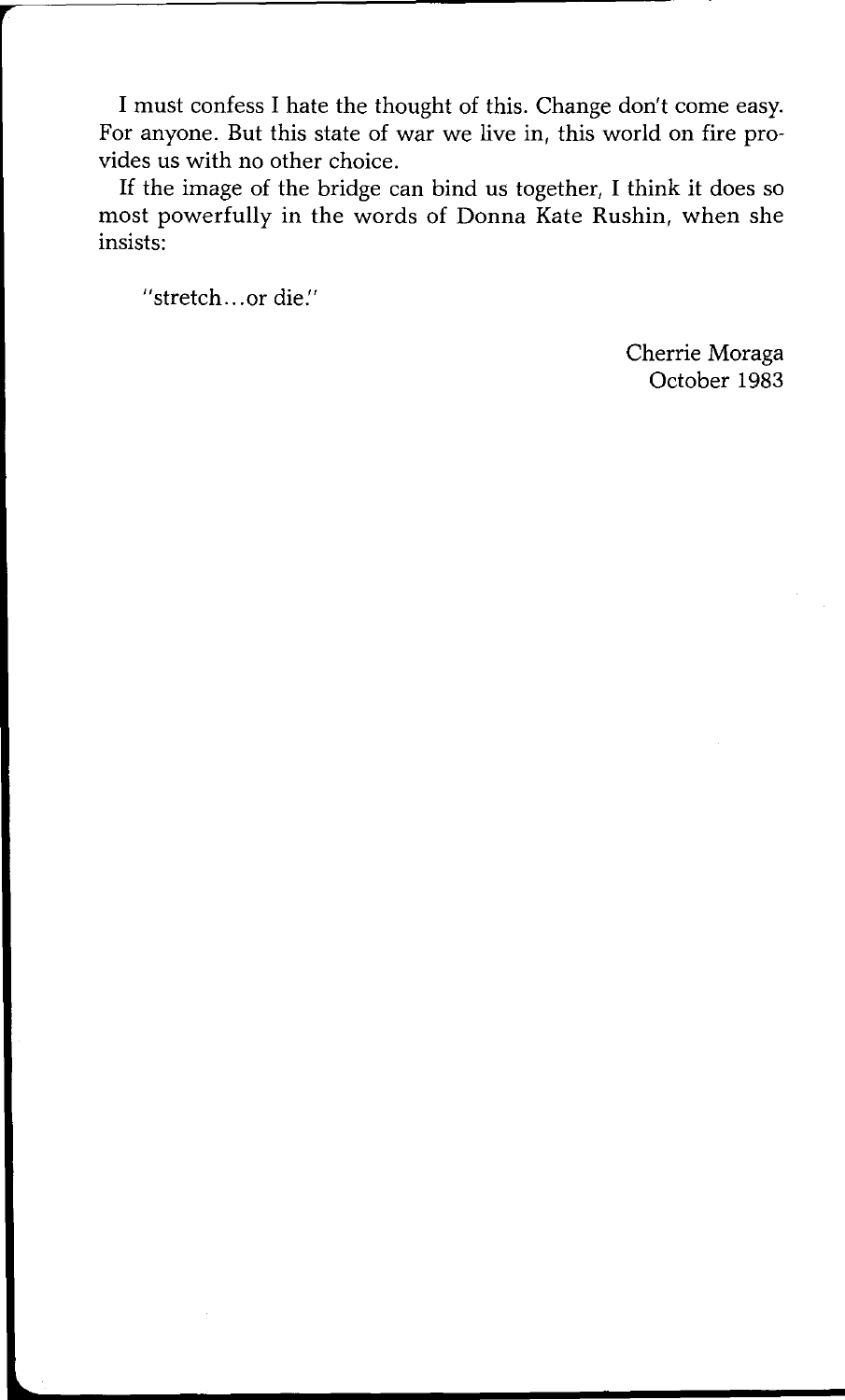I must confess I hate the thought of this. Change don't come easy. For anyone. But this state of war we live in, this world on fire provides us with no other choice.

If the image of the bridge can bind us together, I think it does so most powerfully in the words of Donna Kate Rushin, when she insists:

"stretch...or die."

Cherrie Moraga October 1983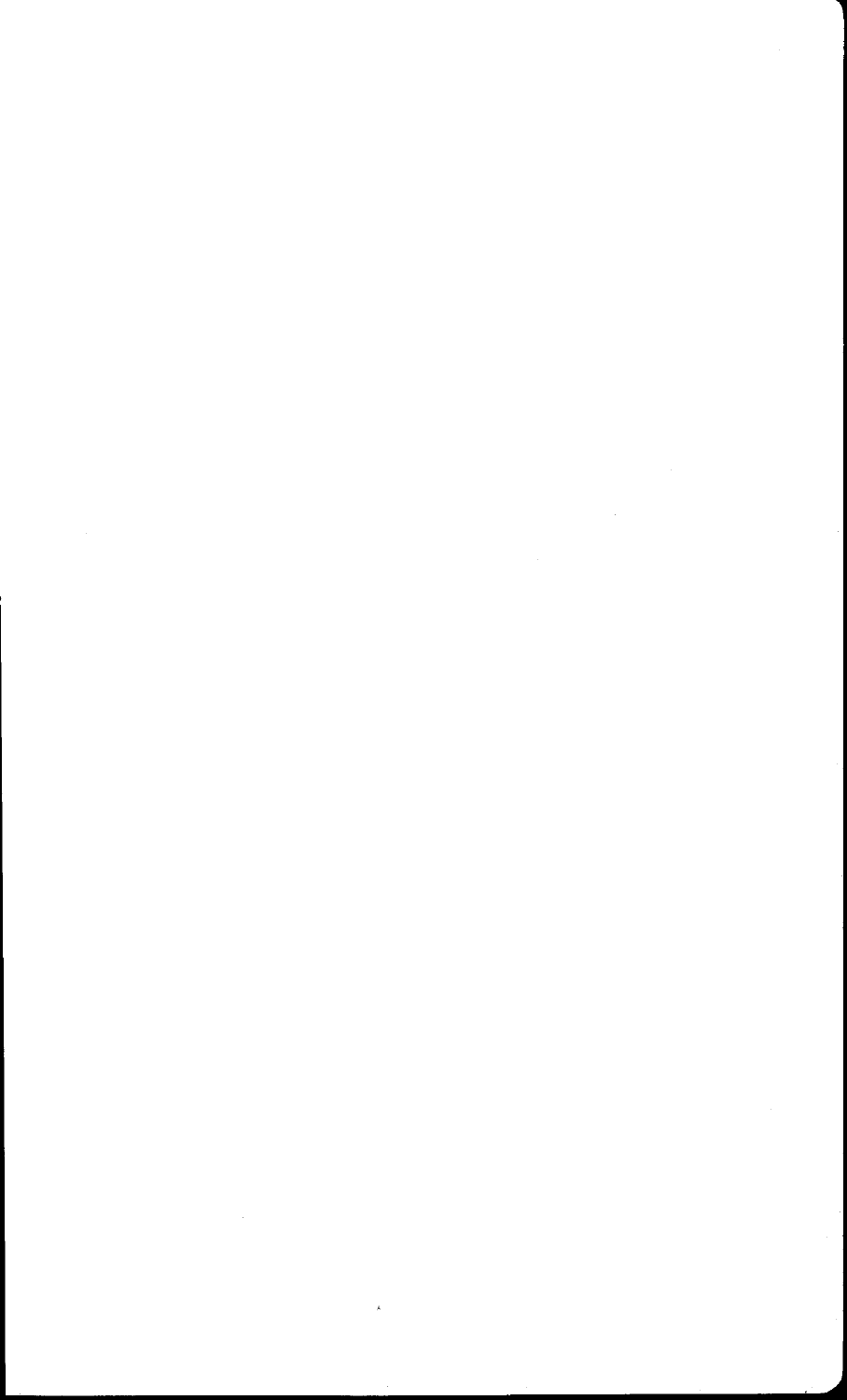$\mathbb{R}^2$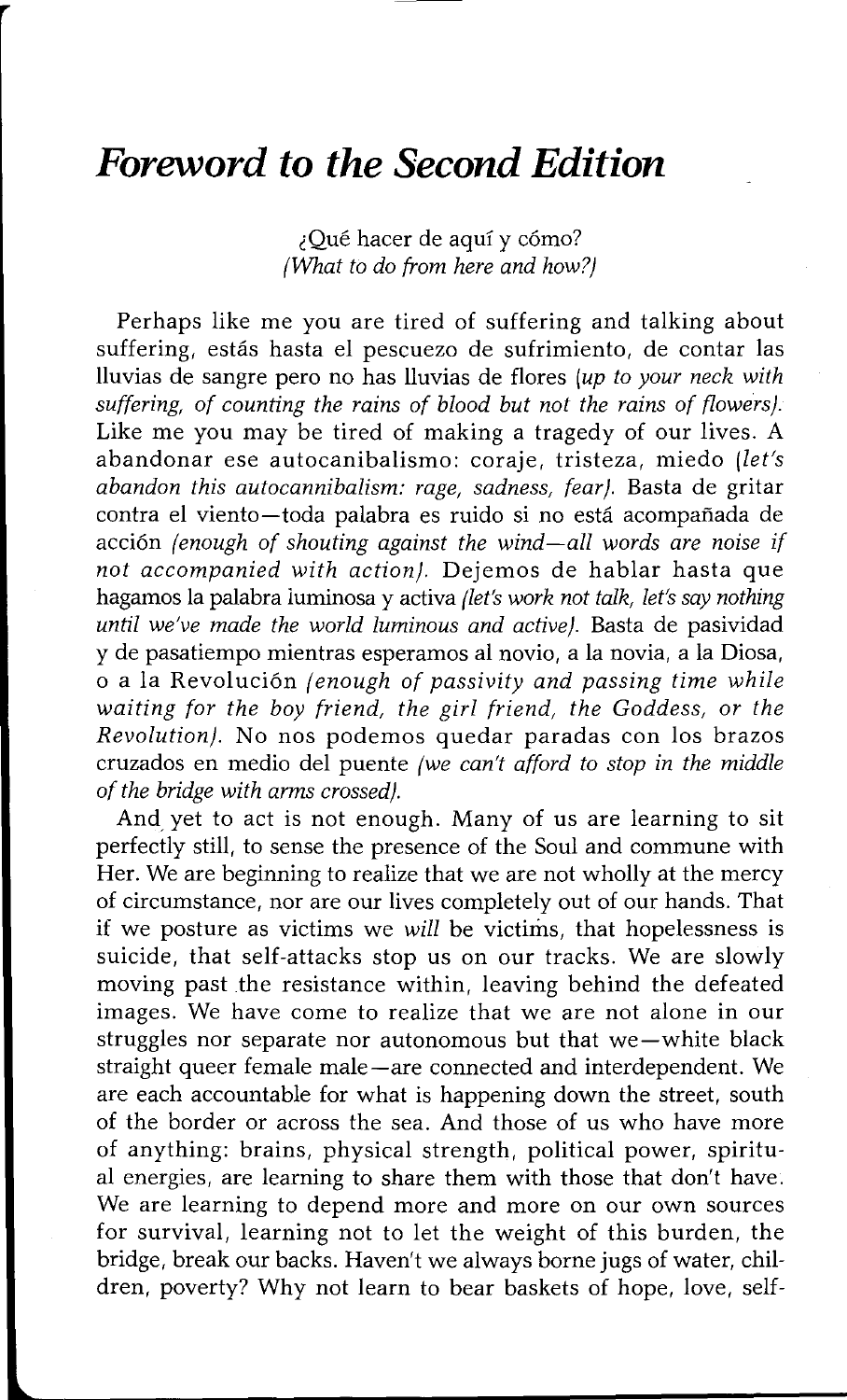# *Foreword to the Second Edition*

0Q.u6 hacer de aqui y cOmo? *(What to do from here and how?)*

Perhaps like me you are tired of suffering and talking about suffering, estás hasta el pescuezo de sufrimiento, de contar las lluvias de sangre pero no has Iluvias de flores *(up to your neck with suffering, of counting the rains of blood but not the rains of flowers).* Like me you may be tired of making a tragedy of our lives. A abandonar ese autocanibalismo: coraje, tristeza, miedo *(let's abandon this autocannibalism: rage, sadness, fear).* Basta de gritar contra el viento—toda palabra es ruido si no esta acompanada de acción *(enough of shouting against the wind—all words are noise if not accompanied with action).* Dejemos de hablar hasta que hagamos la palabra iuminosa y activa *(let's work not talk, let's say nothing until we've made the world luminous and active).* Basta de pasividad y de pasatiempo mientras esperamos al novio, a la novia, a la Diosa, o a la Revolución *(enough of passivity and passing time while waiting for the boy friend, the girl friend, the Goddess, or the Revolution*). No nos podemos quedar paradas con los brazos cruzados en medio del puente *(we can't afford to stop in the middle of the bridge with arms crossed).*

And yet to act is not enough. Many of us are learning to sit perfectly still, to sense the presence of the Soul and commune with Her. We are beginning to realize that we are not wholly at the mercy of circumstance, nor are our lives completely out of our hands. That if we posture as victims we *will* be victims, that hopelessness is suicide, that self-attacks stop us on our tracks. We are slowly moving past the resistance within, leaving behind the defeated images. We have come to realize that we are not alone in our struggles nor separate nor autonomous but that we—white black straight queer female male—are connected and interdependent. We are each accountable for what is happening down the street, south of the border or across the sea. And those of us who have more of anything: brains, physical strength, political power, spiritual energies, are learning to share them with those that don't have. We are learning to depend more and more on our own sources for survival, learning not to let the weight of this burden, the bridge, break our backs. Haven't we always borne jugs of water, children, poverty? Why not learn to bear baskets of hope, love, self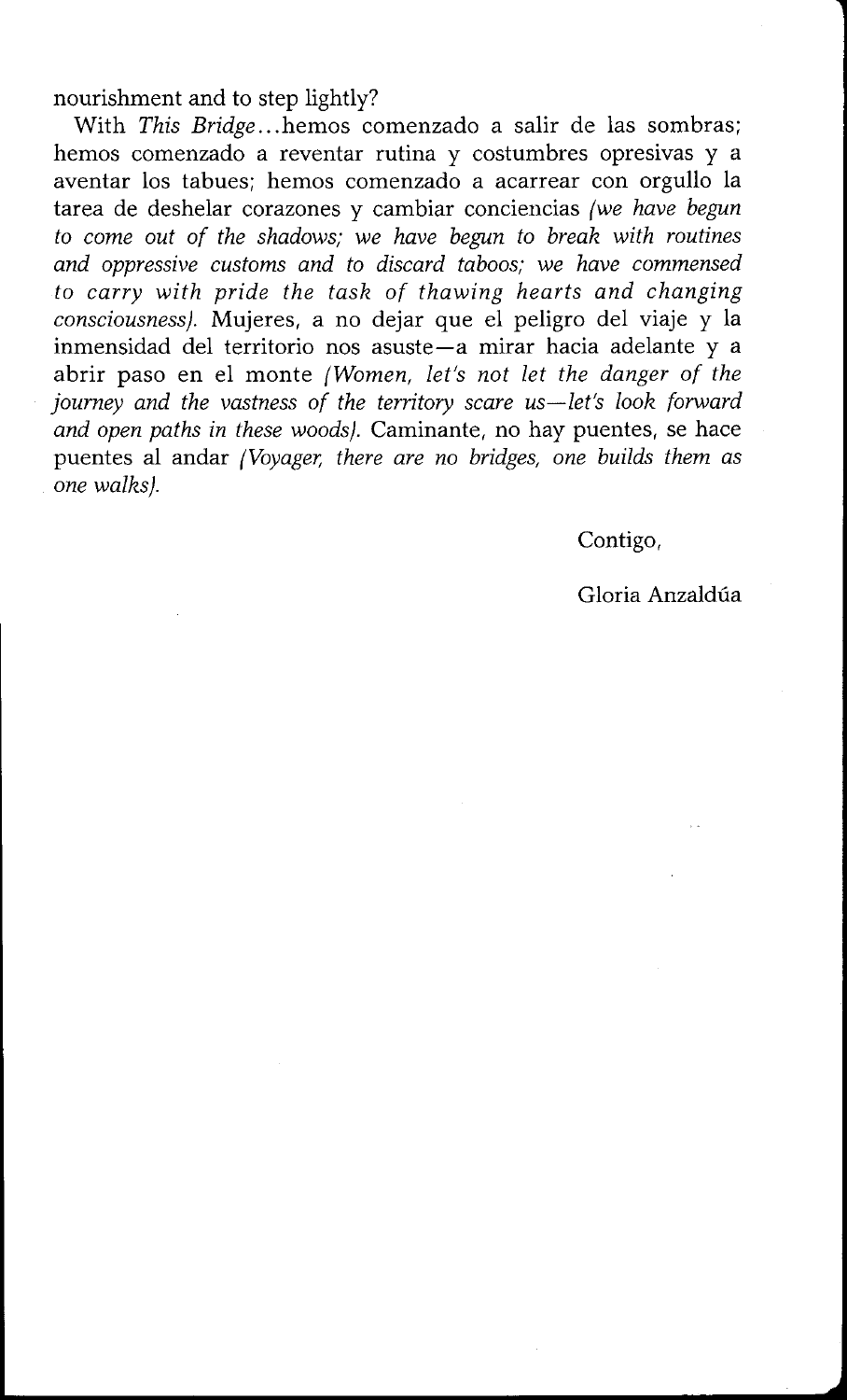nourishment and to step lightly?

With *This Bridge ...hemos* comenzado a salir de las sombras; hemos comenzado a reventar rutina y costumbres opresivas y a aventar los tabues; hemos comenzado a acarrear con orgullo la tarea de deshelar corazones y cambiar conciencias *(we have begun to come out of the shadows; we have begun to break with routines and oppressive customs and to discard taboos; we have commensed to carry with pride the task of thawing hearts and changing consciousness).* Mujeres, a no dejar que el peligro del viaje y la inmensidad del territorio nos asuste —a mirar hacia adelante y a abrir paso en el monte *(Women, let's not let the danger of the journey and the vastness of the territory scare us-let's look forward and open paths in these woods).* Caminante, no hay puentes, se hace puentes al andar *(Voyager, there are no bridges, one builds them as one walks).*

Contigo,

Gloria Anzaldúa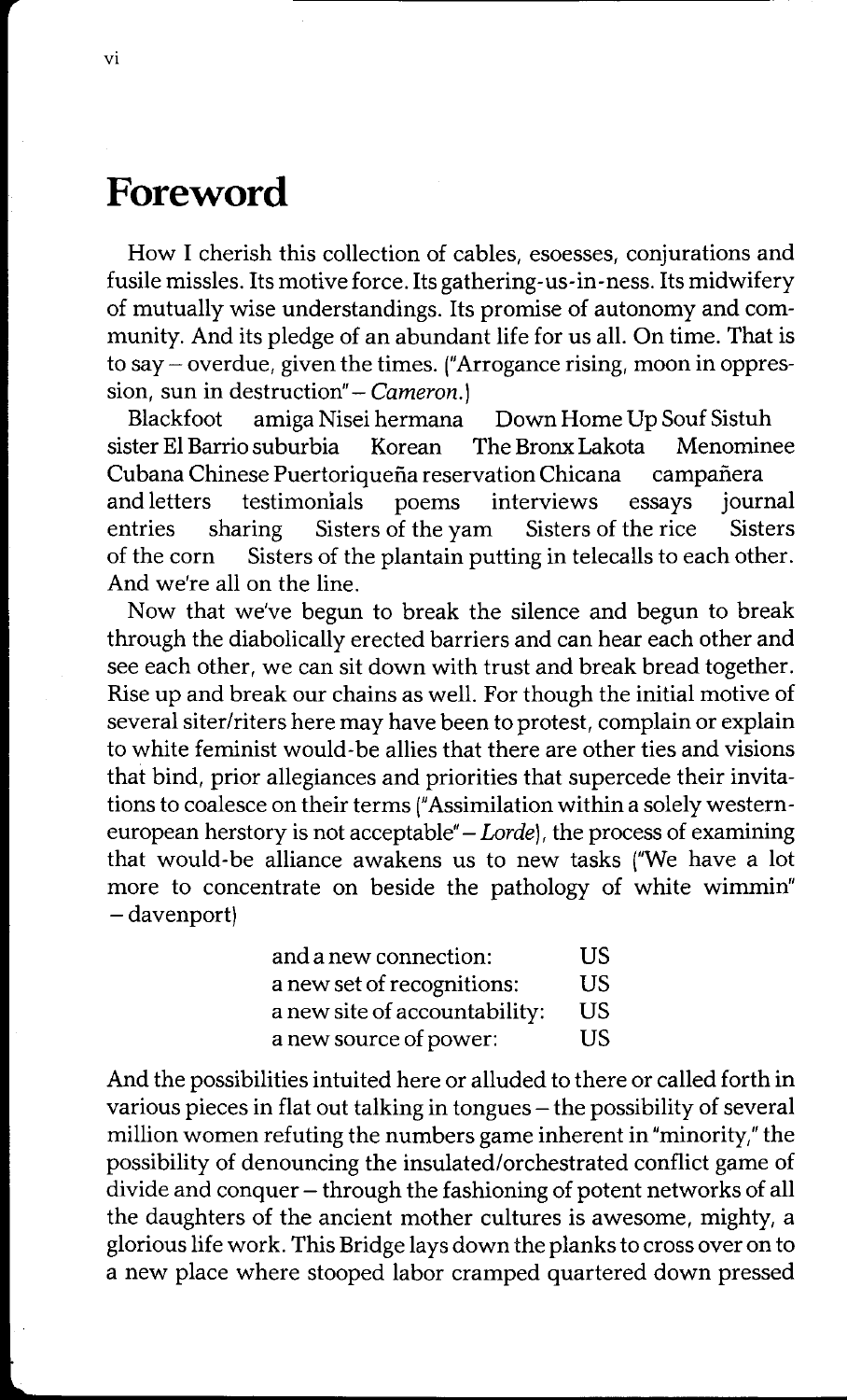# **Foreword**

How I cherish this collection of cables, esoesses, conjurations and fusile missles. Its motive force. Its gathering- us- in - ness. Its midwifery of mutually wise understandings. Its promise of autonomy and community. And its pledge of an abundant life for us all. On time. That is to say – overdue, given the times. ("Arrogance rising, moon in oppression, sun in destruction" – *Cameron.)*

Blackfoot amiga Nisei hermana Down Home Up Souf Sistuh sister El Barrio suburbia Korean The Bronx Lakota Menominee Cubana Chinese Puertoriqueña reservation Chicana campañera and letters testimonials poems interviews essays journal<br>entries sharing Sisters of the vam Sisters of the rice Sisters entries sharing Sisters of the yam Sisters of the rice Sisters of the corn Sisters of the plantain putting in telecalls to each other. And we're all on the line.

Now that we've begun to break the silence and begun to break through the diabolically erected barriers and can hear each other and see each other, we can sit down with trust and break bread together. Rise up and break our chains as well. For though the initial motive of several siter/riters here may have been to protest, complain or explain to white feminist would-be allies that there are other ties and visions that bind, prior allegiances and priorities that supercede their invitations to coalesce on their terms ("Assimilation within a solely westerneuropean herstory is not acceptable" – *Lorde),* the process of examining that would-be alliance awakens us to new tasks ("We have a lot more to concentrate on beside the pathology of white wimmin" – davenport)

| and a new connection:         | US  |
|-------------------------------|-----|
| a new set of recognitions:    | US  |
| a new site of accountability: | US. |
| a new source of power:        | US. |

And the possibilities intuited here or alluded to there or called forth in various pieces in flat out talking in tongues – the possibility of several million women refuting the numbers game inherent in "minority," the possibility of denouncing the insulated/orchestrated conflict game of divide and conquer – through the fashioning of potent networks of all the daughters of the ancient mother cultures is awesome, mighty, a glorious life work. This Bridge lays down the planks to cross over on to a new place where stooped labor cramped quartered down pressed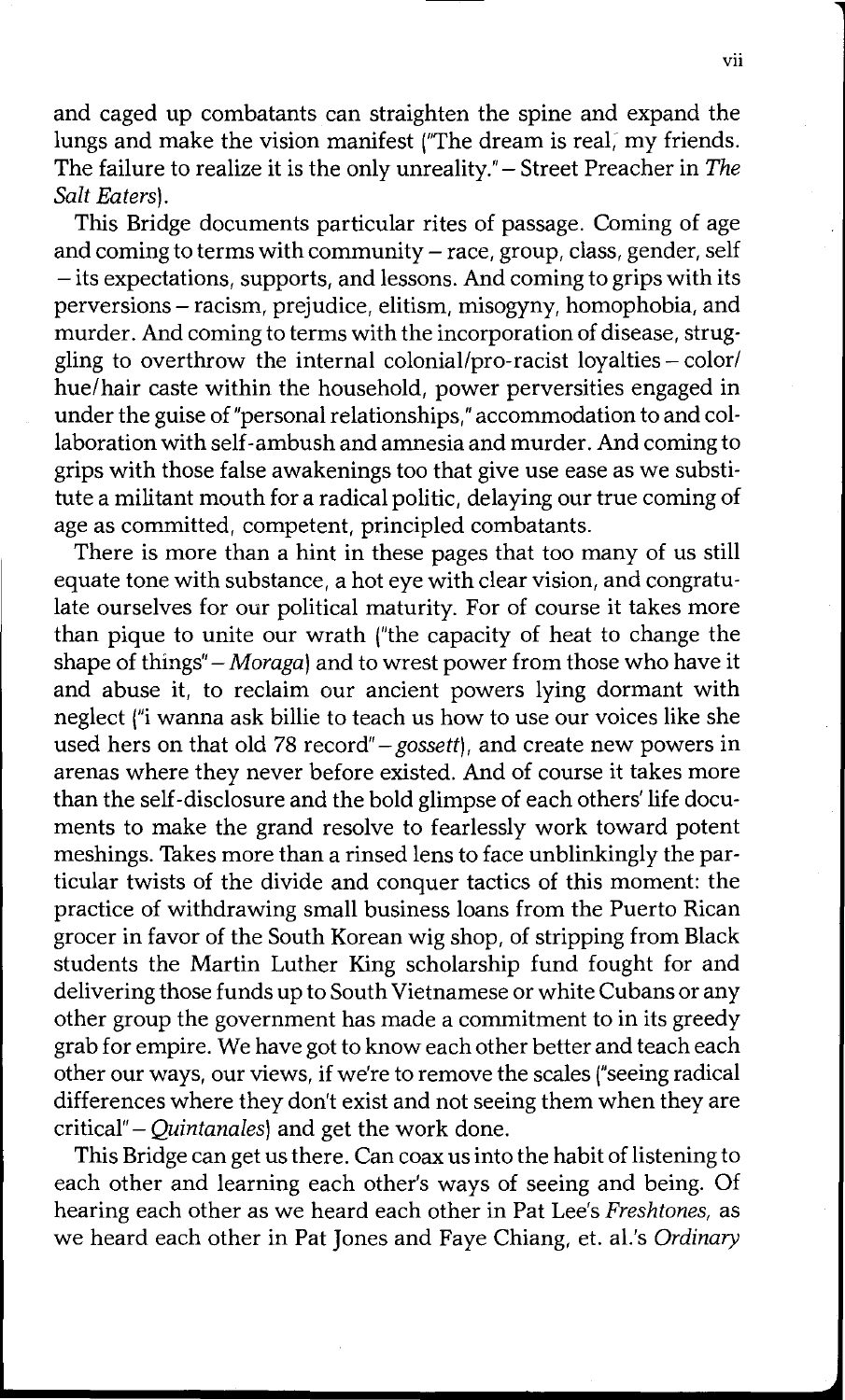and caged up combatants can straighten the spine and expand the lungs and make the vision manifest  $\lim_{n \to \infty}$  areal, my friends. The failure to realize it is the only unreality." – Street Preacher in *The Salt Eaters).*

This Bridge documents particular rites of passage. Coming of age and coming to terms with community – race, group, class, gender, self – its expectations, supports, and lessons. And coming to grips with its perversions – racism, prejudice, elitism, misogyny, homophobia, and murder. And coming to terms with the incorporation of disease, struggling to overthrow the internal colonial/pro-racist loyalties – color/ hue/hair caste within the household, power perversities engaged in under the guise of "personal relationships," accommodation to and collaboration with self-ambush and amnesia and murder. And coming to grips with those false awakenings too that give use ease as we substitute a militant mouth for a radical politic, delaying our true coming of age as committed, competent, principled combatants.

There is more than a hint in these pages that too many of us still equate tone with substance, a hot eye with clear vision, and congratulate ourselves for our political maturity. For of course it takes more than pique to unite our wrath ("the capacity of heat to change the shape of things" – *Moraga)* and to wrest power from those who have it and abuse it, to reclaim our ancient powers lying dormant with neglect ("i wanna ask billie to teach us how to use our voices like she used hers on that old 78 record" – *gossett),* and create new powers in arenas where they never before existed. And of course it takes more than the self-disclosure and the bold glimpse of each others' life documents to make the grand resolve to fearlessly work toward potent meshings. Takes more than a rinsed lens to face unblinkingly the particular twists of the divide and conquer tactics of this moment: the practice of withdrawing small business loans from the Puerto Rican grocer in favor of the South Korean wig shop, of stripping from Black students the Martin Luther King scholarship fund fought for and delivering those funds up to South Vietnamese or white Cubans or any other group the government has made a commitment to in its greedy grab for empire. We have got to know each other better and teach each other our ways, our views, if we're to remove the scales ("seeing radical differences where they don't exist and not seeing them when they are critical" – *Quintanales)* and get the work done.

This Bridge can get us there. Can coax us into the habit of listening to each other and learning each other's ways of seeing and being. Of hearing each other as we heard each other in Pat Lee's *Fresh tones,* as we heard each other in Pat Jones and Faye Chiang, et. al .'s *Ordinary*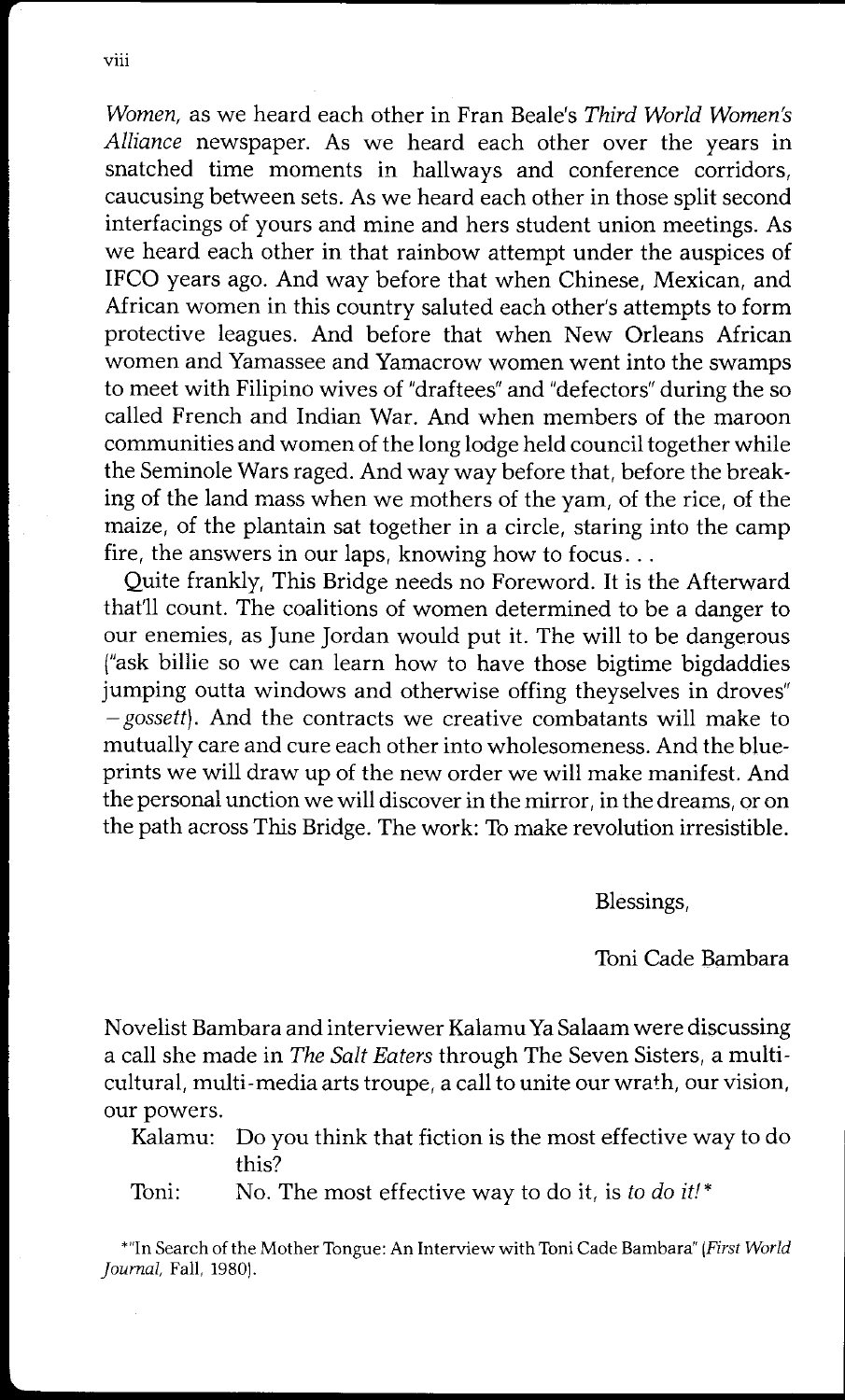*Women,* as we heard each other in Fran Beale's *Third World Women's Alliance* newspaper. As we heard each other over the years in snatched time moments in hallways and conference corridors, caucusing between sets. As we heard each other in those split second interfacings of yours and mine and hers student union meetings. As we heard each other in that rainbow attempt under the auspices of IFCO years ago. And way before that when Chinese, Mexican, and African women in this country saluted each other's attempts to form protective leagues. And before that when New Orleans African women and Yamassee and Yamacrow women went into the swamps to meet with Filipino wives of "draftees" and "defectors" during the so called French and Indian War. And when members of the maroon communities and women of the long lodge held council together while the Seminole Wars raged. And way way before that, before the breaking of the land mass when we mothers of the yam, of the rice, of the maize, of the plantain sat together in a circle, staring into the camp fire, the answers in our laps, knowing how to focus...

Quite frankly, This Bridge needs no Foreword. It is the Afterward that'll count. The coalitions of women determined to be a danger to our enemies, as June Jordan would put it. The will to be dangerous ("ask billie so we can learn how to have those bigtime bigdaddies jumping outta windows and otherwise offing theyselves in droves" – *gossett).* And the contracts we creative combatants will make to mutually care and cure each other into wholesomeness. And the blueprints we will draw up of the new order we will make manifest. And the personal unction we will discover in the mirror, in the dreams, or on the path across This Bridge. The work: To make revolution irresistible.

Blessings,

Toni Cade Bambara

Novelist Bambara and interviewer Kalamu Ya Salaam were discussing a call she made in *The Salt Eaters* through The Seven Sisters, a multicultural, multi-media arts troupe, a call to unite our wrath, our vision, our powers.<br>Kalamu:

Do you think that fiction is the most effective way to do this?

Toni: No. The most effective way to do it, is *to do it!\**

\*"In Search of the Mother Tongue: An Interview with Toni Cade Bambara" *(First World Journal,* Fall, 1980).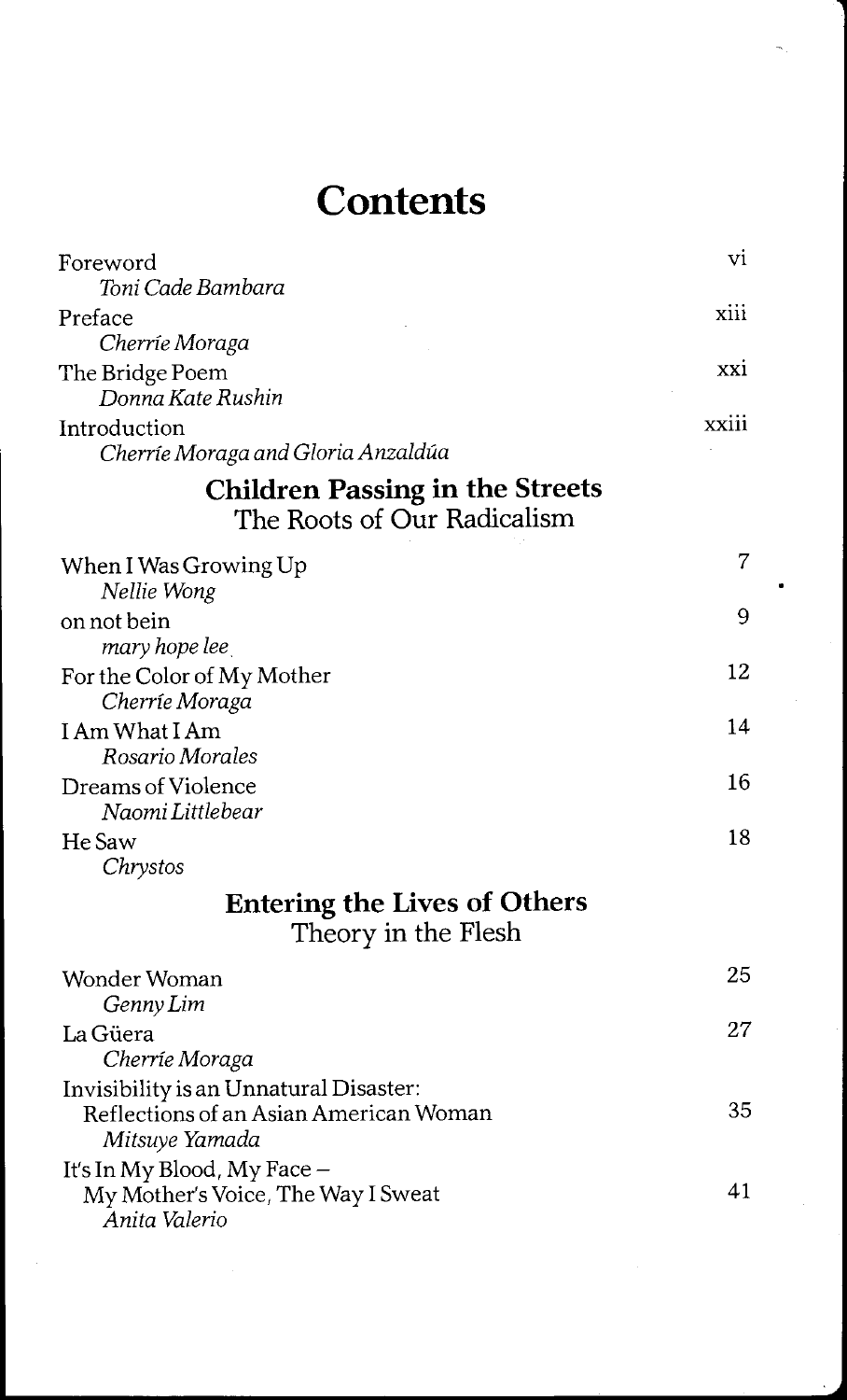# **Contents**

| Foreword                                                                                           | vi    |
|----------------------------------------------------------------------------------------------------|-------|
| Toni Cade Bambara                                                                                  |       |
| Preface                                                                                            | xiii  |
| Cherríe Moraga                                                                                     |       |
| The Bridge Poem                                                                                    | xxi   |
| Donna Kate Rushin                                                                                  |       |
| Introduction                                                                                       | xxiii |
| Cherríe Moraga and Gloria Anzaldúa                                                                 |       |
| <b>Children Passing in the Streets</b><br>The Roots of Our Radicalism                              |       |
| When I Was Growing Up<br>Nellie Wong                                                               | 7     |
| on not bein                                                                                        | 9     |
| mary hope lee                                                                                      |       |
| For the Color of My Mother<br>Cherríe Moraga                                                       | 12    |
| I Am What I Am                                                                                     | 14    |
| Rosario Morales                                                                                    |       |
| Dreams of Violence<br>Naomi Littlebear                                                             | 16    |
| He Saw                                                                                             | 18    |
| Chrystos                                                                                           |       |
| <b>Entering the Lives of Others</b><br>Theory in the Flesh                                         |       |
| Wonder Woman                                                                                       | 25    |
| Genny Lim                                                                                          |       |
| La Güera<br>Cherríe Moraga                                                                         | 27    |
| Invisibility is an Unnatural Disaster:<br>Reflections of an Asian American Woman<br>Mitsuye Yamada | 35    |
| It's In My Blood, My Face -<br>My Mother's Voice, The Way I Sweat<br>Anita Valerio                 | 41    |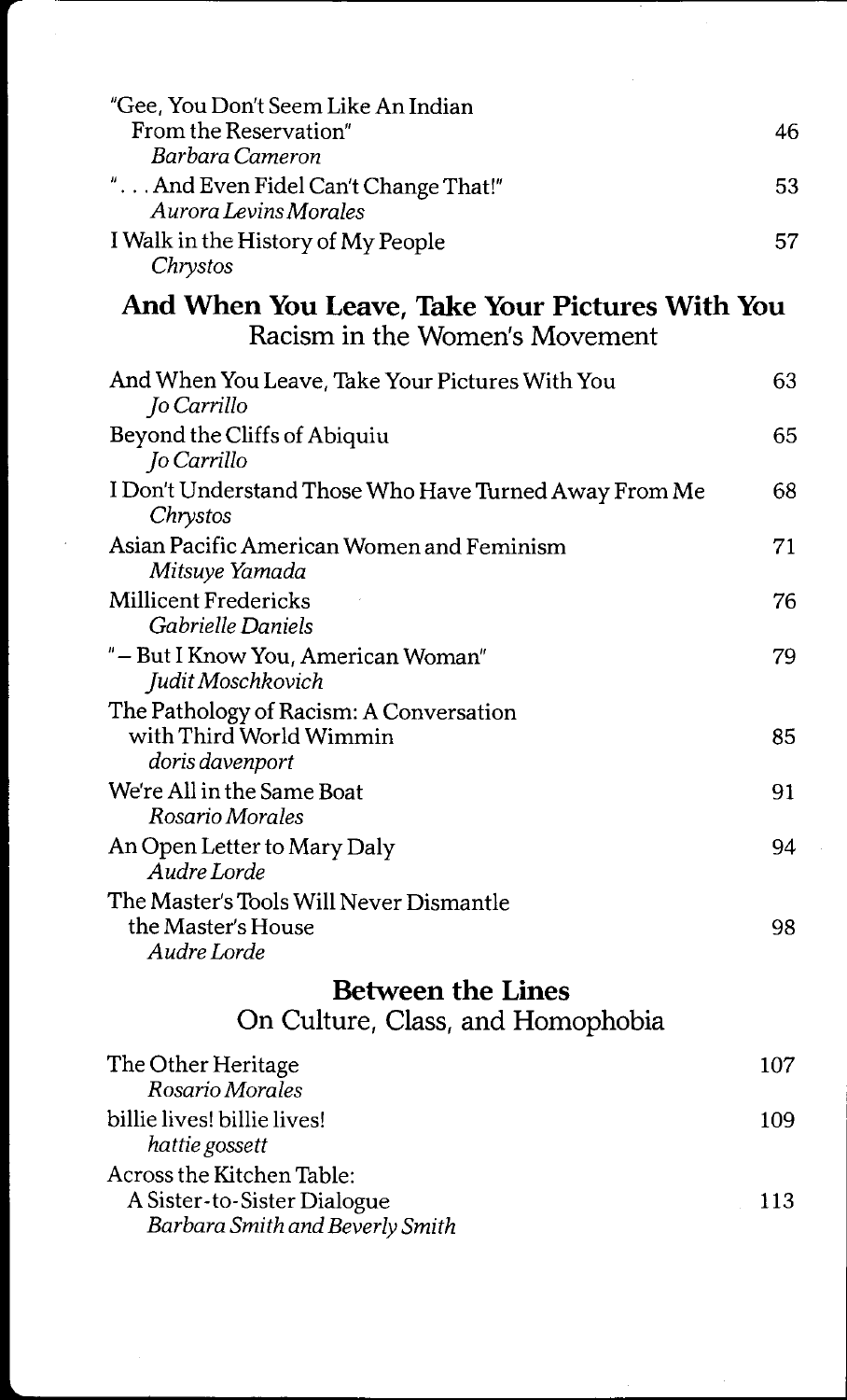| "Gee, You Don't Seem Like An Indian  |    |
|--------------------------------------|----|
| From the Reservation"                | 46 |
| Barbara Cameron                      |    |
| " And Even Fidel Can't Change That!" | 53 |
| Aurora Levins Morales                |    |
| I Walk in the History of My People   | 57 |
| Chrystos                             |    |

# And When You Leave, Take Your Pictures With You<br>Racism in the Women's Movement

| Retween the Lines                                                                     |    |
|---------------------------------------------------------------------------------------|----|
| The Master's Tools Will Never Dismantle<br>the Master's House<br>Audre Lorde          | 98 |
| An Open Letter to Mary Daly<br>Audre Lorde                                            | 94 |
| We're All in the Same Boat<br>Rosario Morales                                         | 91 |
| The Pathology of Racism: A Conversation<br>with Third World Wimmin<br>doris davenport | 85 |
| "-But I Know You, American Woman"<br>Judit Moschkovich                                | 79 |
| Millicent Fredericks<br>Gabrielle Daniels                                             | 76 |
| Asian Pacific American Women and Feminism<br>Mitsuye Yamada                           | 71 |
| I Don't Understand Those Who Have Turned Away From Me<br>Chrystos                     | 68 |
| Beyond the Cliffs of Abiquiu<br>Jo Carrillo                                           | 65 |
| And When You Leave, Take Your Pictures With You<br>Jo Carrillo                        | 63 |
|                                                                                       |    |

## On Culture, Class, and Homophobia

| The Other Heritage<br>Rosario Morales                                                       | 107 |
|---------------------------------------------------------------------------------------------|-----|
| billie lives! billie lives!<br>hattie gossett                                               | 109 |
| Across the Kitchen Table:<br>A Sister-to-Sister Dialogue<br>Barbara Smith and Beverly Smith | 113 |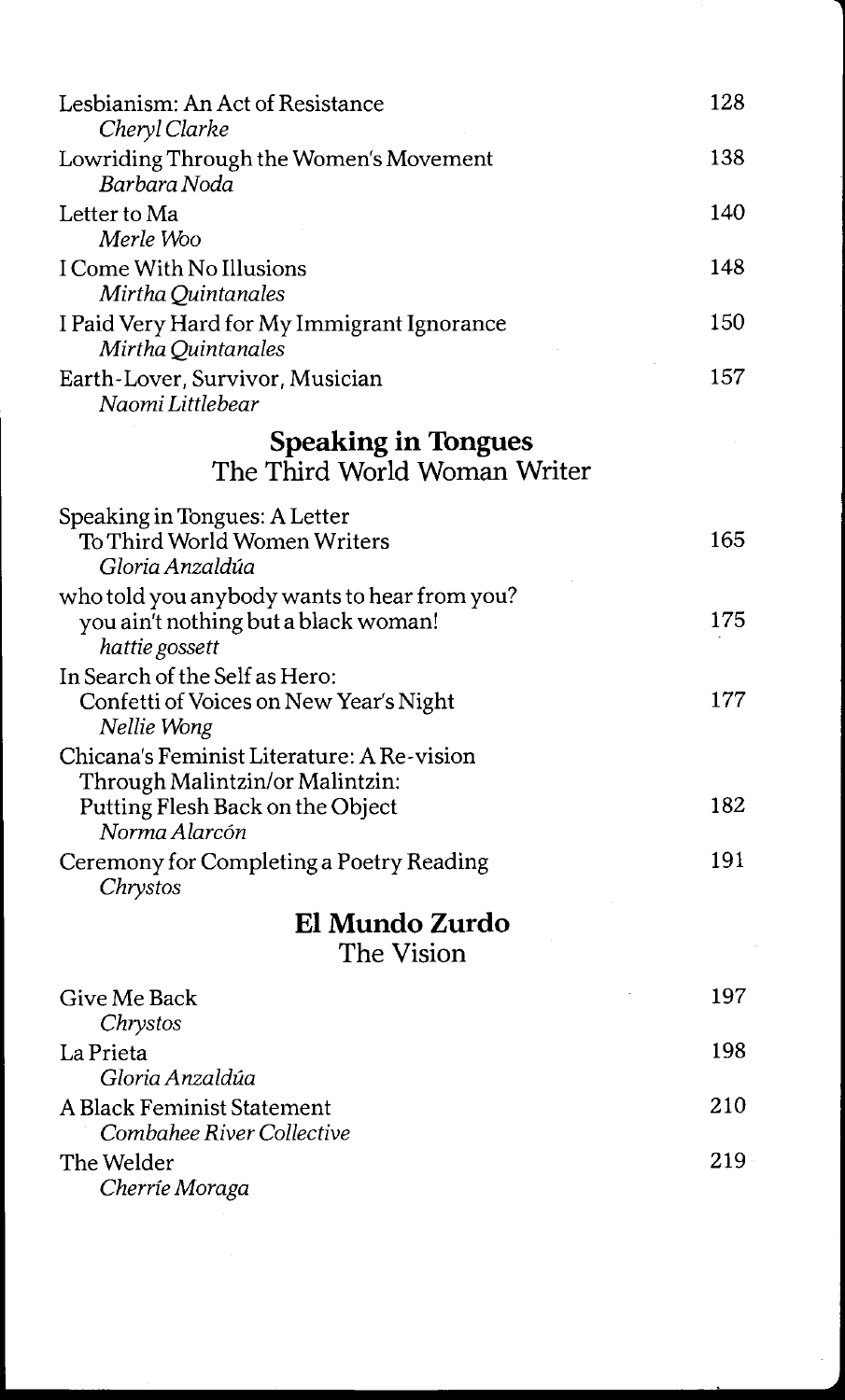| Lesbianism: An Act of Resistance<br>Cheryl Clarke                                                                                  | 128 |
|------------------------------------------------------------------------------------------------------------------------------------|-----|
| Lowriding Through the Women's Movement<br>Barbara Noda                                                                             | 138 |
| Letter to Ma<br>Merle Woo                                                                                                          | 140 |
| I Come With No Illusions<br>Mirtha Quintanales                                                                                     | 148 |
| I Paid Very Hard for My Immigrant Ignorance<br>Mirtha Quintanales                                                                  | 150 |
| Earth-Lover, Survivor, Musician<br>Naomi Littlebear                                                                                | 157 |
| <b>Speaking in Tongues</b><br>The Third World Woman Writer                                                                         |     |
| Speaking in Tongues: A Letter<br>To Third World Women Writers<br>Gloria Anzaldúa                                                   | 165 |
| who told you anybody wants to hear from you?<br>you ain't nothing but a black woman!<br>hattie gossett                             | 175 |
| In Search of the Self as Hero:<br>Confetti of Voices on New Year's Night<br>Nellie Wong                                            | 177 |
| Chicana's Feminist Literature: A Re-vision<br>Through Malintzin/or Malintzin:<br>Putting Flesh Back on the Object<br>Norma Alarcón | 182 |
| Ceremony for Completing a Poetry Reading<br>Chrystos                                                                               | 191 |
| El Mundo Zurdo<br>The Vision                                                                                                       |     |
| Give Me Back<br>Chrystos                                                                                                           | 197 |
| La Prieta<br>Gloria Anzaldúa                                                                                                       | 198 |
| A Black Feminist Statement<br>Combahee River Collective                                                                            | 210 |
| The Welder<br>Cherríe Moraga                                                                                                       | 219 |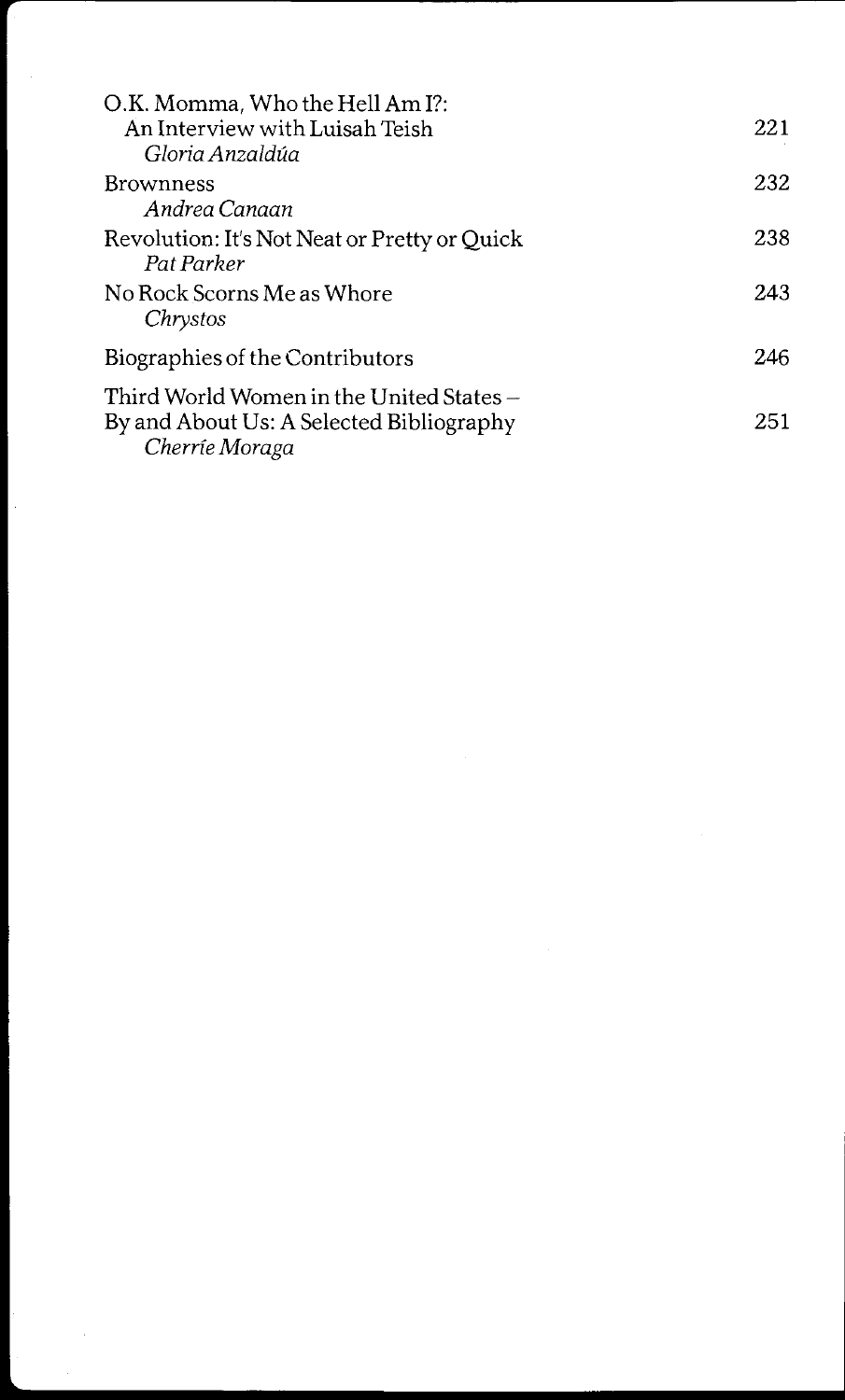#### ----

| O.K. Momma, Who the Hell Am I?:<br>An Interview with Luisah Teish<br>Gloria Anzaldúa                   | 221 |
|--------------------------------------------------------------------------------------------------------|-----|
| <b>Brownness</b><br>Andrea Canaan                                                                      | 232 |
| Revolution: It's Not Neat or Pretty or Quick<br>Pat Parker                                             | 238 |
| No Rock Scorns Me as Whore<br>Chrystos                                                                 | 243 |
| Biographies of the Contributors                                                                        | 246 |
| Third World Women in the United States –<br>By and About Us: A Selected Bibliography<br>Cherríe Moraga | 251 |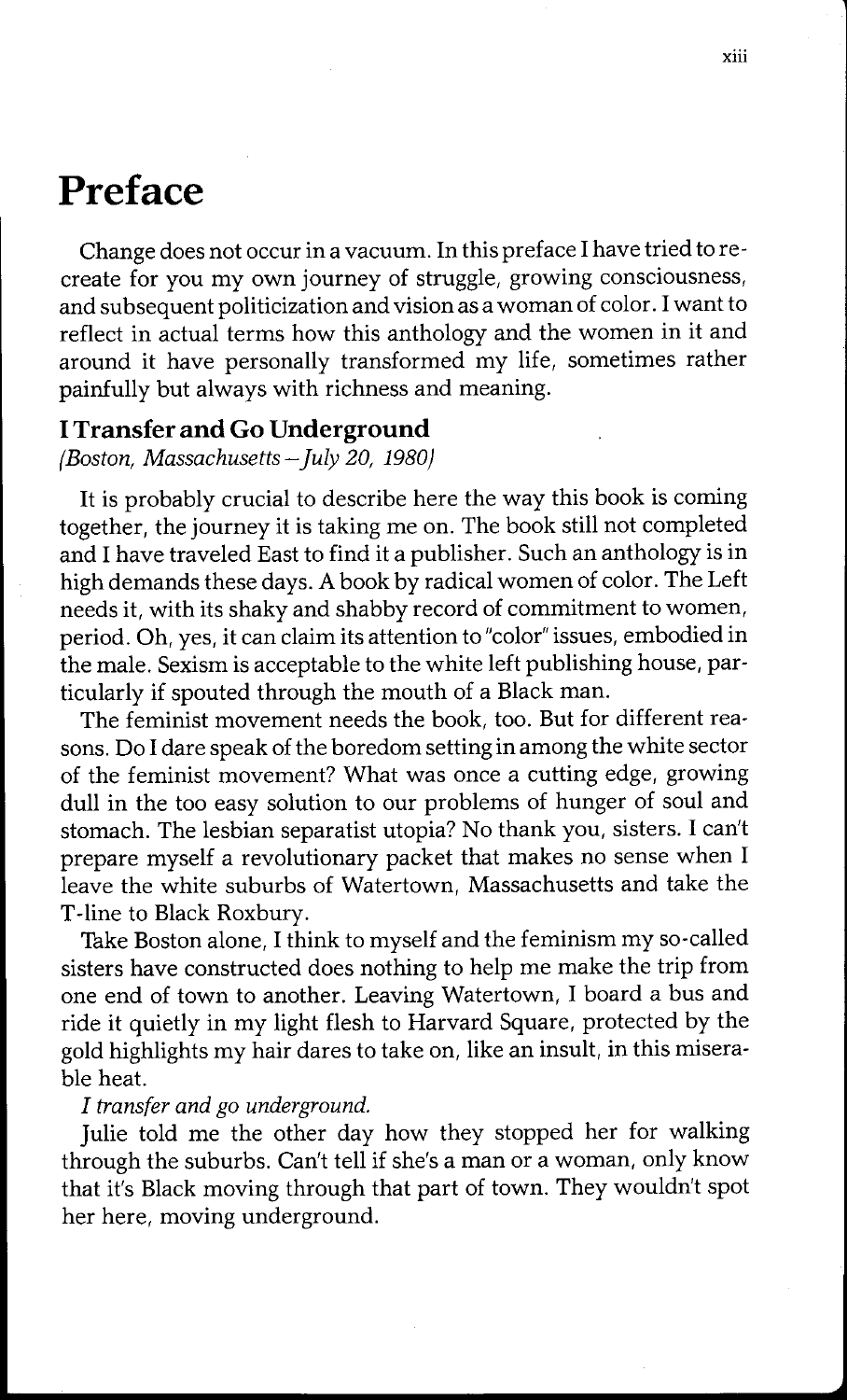# **Preface**

Change does not occur in a vacuum. In this preface I have tried to recreate for you my own journey of struggle, growing consciousness, and subsequent politicization and vision as a woman of color. I want to reflect in actual terms how this anthology and the women in it and around it have personally transformed my life, sometimes rather painfully but always with richness and meaning.

### **I Transfer and Go Underground**

*(Boston, Massachusetts —July 20, 1980)*

It is probably crucial to describe here the way this book is coming together, the journey it is taking me on. The book still not completed and I have traveled East to find it a publisher. Such an anthology is in high demands these days. A book by radical women of color. The Left needs it, with its shaky and shabby record of commitment to women, period. Oh, yes, it can claim its attention to "color" issues, embodied in the male. Sexism is acceptable to the white left publishing house, particularly if spouted through the mouth of a Black man.

The feminist movement needs the book, too. But for different reasons. Do I dare speak of the boredom setting in among the white sector of the feminist movement? What was once a cutting edge, growing dull in the too easy solution to our problems of hunger of soul and stomach. The lesbian separatist utopia? No thank you, sisters. I can't prepare myself a revolutionary packet that makes no sense when I leave the white suburbs of Watertown, Massachusetts and take the T-line to Black Roxbury.

Take Boston alone, I think to myself and the feminism my so-called sisters have constructed does nothing to help me make the trip from one end of town to another. Leaving Watertown, I board a bus and ride it quietly in my light flesh to Harvard Square, protected by the gold highlights my hair dares to take on, like an insult, in this miserable heat.

#### *I transfer and go underground.*

Julie told me the other day how they stopped her for walking through the suburbs. Can't tell if she's a man or a woman, only know that it's Black moving through that part of town. They wouldn't spot her here, moving underground.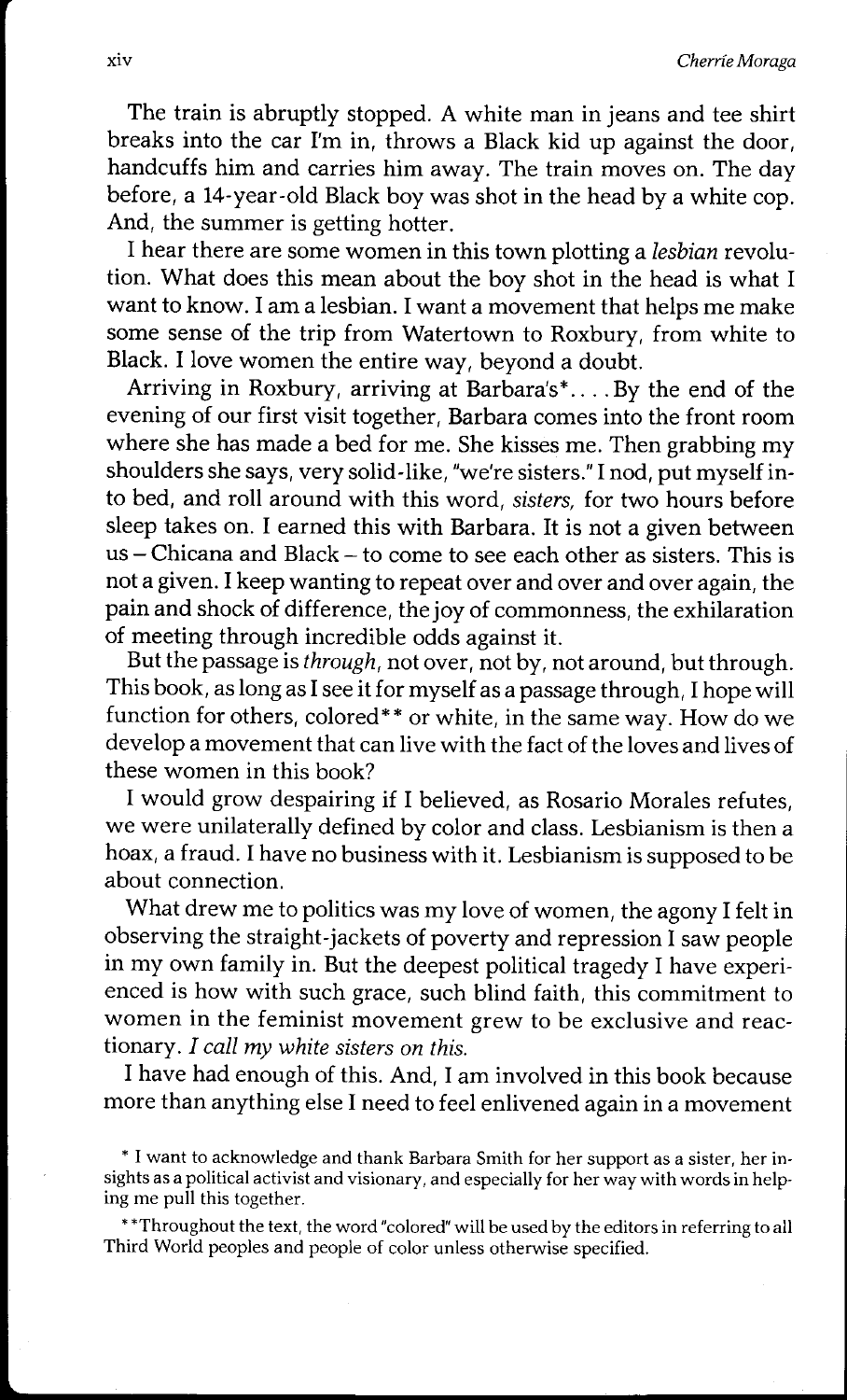The train is abruptly stopped. A white man in jeans and tee shirt breaks into the car I'm in, throws a Black kid up against the door, handcuffs him and carries him away. The train moves on. The day before, a 14-year-old Black boy was shot in the head by a white cop. And, the summer is getting hotter.

I hear there are some women in this town plotting a *lesbian* revolution. What does this mean about the boy shot in the head is what I want to know. I am a lesbian. I want a movement that helps me make some sense of the trip from Watertown to Roxbury, from white to Black. I love women the entire way, beyond a doubt.

Arriving in Roxbury, arriving at Barbara's\*.. . . By the end of the evening of our first visit together, Barbara comes into the front room where she has made a bed for me. She kisses me. Then grabbing my shoulders she says, very solid-like, "we're sisters." I nod, put myself into bed, and roll around with this word, *sisters,* for two hours before sleep takes on. I earned this with Barbara. It is not a given between us – Chicana and Black – to come to see each other as sisters. This is not a given. I keep wanting to repeat over and over and over again, the pain and shock of difference, the joy of commonness, the exhilaration of meeting through incredible odds against it.

But the passage is *through,* not over, not by, not around, but through. This book, as long as I see it for myself as a passage through, I hope will function for others, colored\*\* or white, in the same way. How do we develop a movement that can live with the fact of the loves and lives of these women in this book?

I would grow despairing if I believed, as Rosario Morales refutes, we were unilaterally defined by color and class. Lesbianism is then a hoax, a fraud. I have no business with it. Lesbianism is supposed to be about connection.

What drew me to politics was my love of women, the agony I felt in observing the straight-jackets of poverty and repression I saw people in my own family in. But the deepest political tragedy I have experienced is how with such grace, such blind faith, this commitment to women in the feminist movement grew to be exclusive and reactionary. *I call my white sisters on this.*

I have had enough of this. And, I am involved in this book because more than anything else I need to feel enlivened again in a movement

\* I want to acknowledge and thank Barbara Smith for her support as a sister, her insights as a political activist and visionary, and especially for her way with words in helping me pull this together.

\* \*Throughout the text, the word "colored" will be used by the editors in referring to all Third World peoples and people of color unless otherwise specified.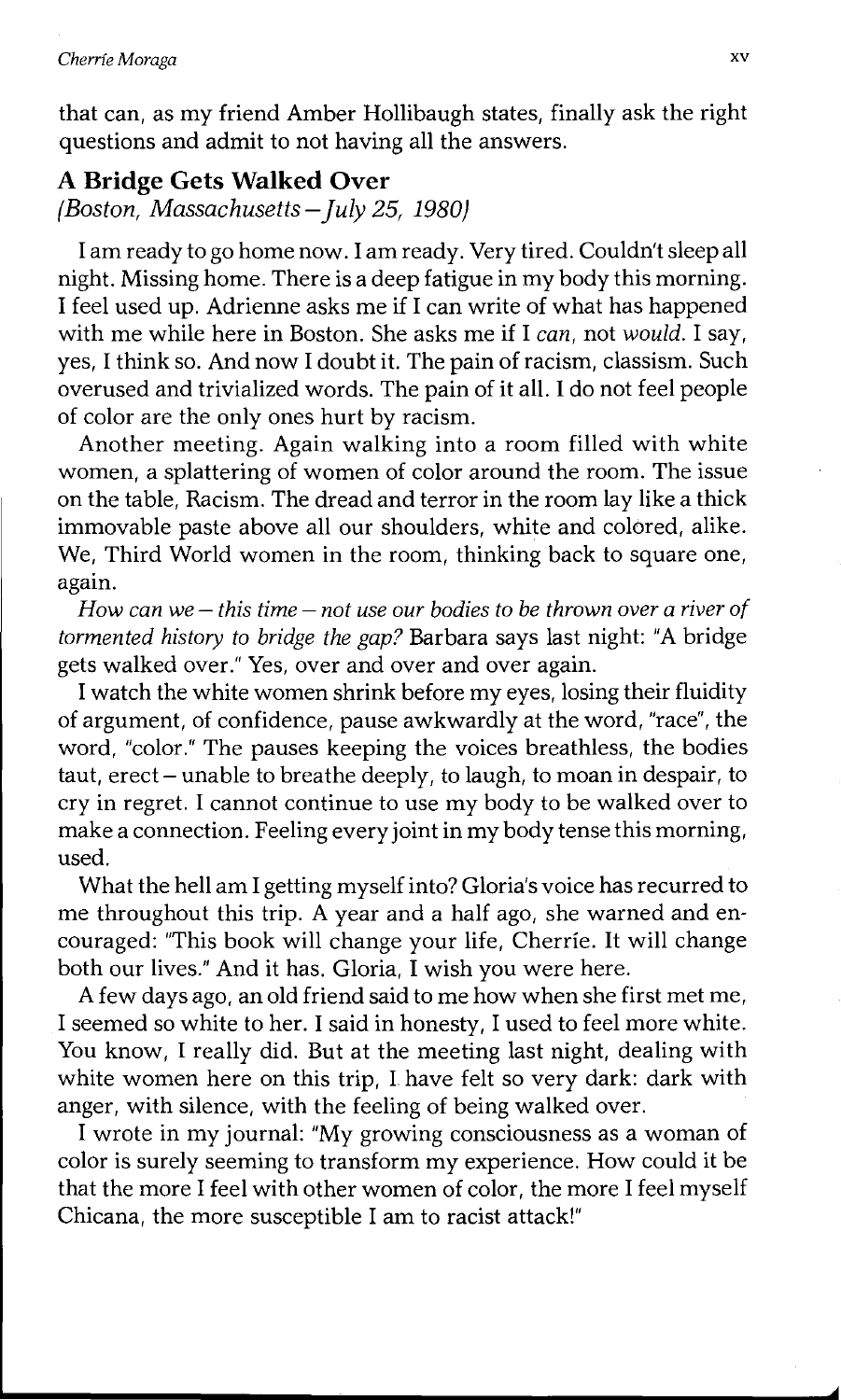that can, as my friend Amber Hollibaugh states, finally ask the right questions and admit to not having all the answers.

### **A Bridge Gets Walked Over**

*(Boston, Massachusetts –July 25, 1980)*

I am ready to go home now. I am ready. Very tired. Couldn't sleep all night. Missing home. There is a deep fatigue in my body this morning. I feel used up. Adrienne asks me if I can write of what has happened with me while here in Boston. She asks me if I *can,* not *would.* I say, yes, I think so. And now I doubt it. The pain of racism, classism. Such overused and trivialized words. The pain of it all. I do not feel people of color are the only ones hurt by racism.

Another meeting. Again walking into a room filled with white women, a splattering of women of color around the room. The issue on the table, Racism. The dread and terror in the room lay like a thick immovable paste above all our shoulders, white and colored, alike. We, Third World women in the room, thinking back to square one, again.

*How can we – this time – not use our bodies to be thrown over a river of tormented history to bridge the gap?* Barbara says last night: "A bridge gets walked over." Yes, over and over and over again.

I watch the white women shrink before my eyes, losing their fluidity of argument, of confidence, pause awkwardly at the word, "race", the word, "color." The pauses keeping the voices breathless, the bodies taut, erect – unable to breathe deeply, to laugh, to moan in despair, to cry in regret. I cannot continue to use my body to be walked over to make a connection. Feeling every joint in my body tense this morning, used.

What the hell am I getting myself into? Gloria's voice has recurred to me throughout this trip. A year and a half ago, she warned and encouraged: "This book will change your life, Cherrie. It will change both our lives." And it has. Gloria, I wish you were here.

A few days ago, an old friend said to me how when she first met me, I seemed so white to her. I said in honesty, I used to feel more white. You know, I really did. But at the meeting last night, dealing with white women here on this trip, I have felt so very dark: dark with anger, with silence, with the feeling of being walked over.

I wrote in my journal: "My growing consciousness as a woman of color is surely seeming to transform my experience. How could it be that the more I feel with other women of color, the more I feel myself Chicana, the more susceptible I am to racist attack!"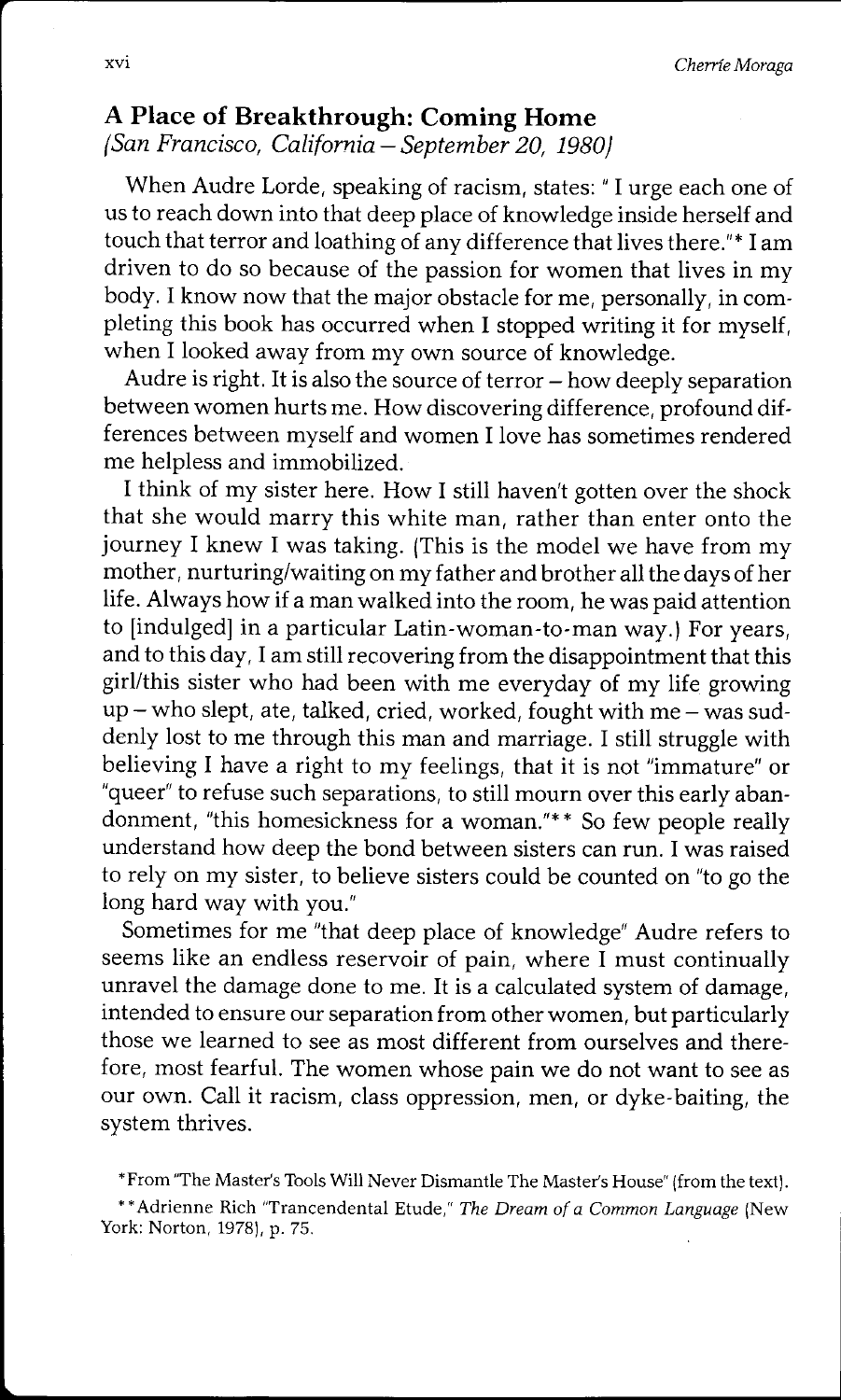### **A Place of Breakthrough: Coming Home** *(San Francisco, California— September 20, 1980)*

When Audre Lorde, speaking of racism, states: " I urge each one of us to reach down into that deep place of knowledge inside herself and touch that terror and loathing of any difference that lives there."\* I am driven to do so because of the passion for women that lives in my body. I know now that the major obstacle for me, personally, in completing this book has occurred when I stopped writing it for myself, when I looked away from my own source of knowledge.

Audre is right. It is also the source of terror  $-$  how deeply separation between women hurts me. How discovering difference, profound differences between myself and women I love has sometimes rendered me helpless and immobilized.

I think of my sister here. How I still haven't gotten over the shock that she would marry this white man, rather than enter onto the journey I knew I was taking. (This is the model we have from my mother, nurturing/waiting on my father and brother all the days of her life. Always how if a man walked into the room, he was paid attention to [indulged] in a particular Latin-woman-to-man way.) For years, and to this day, I am still recovering from the disappointment that this girl/this sister who had been with me everyday of my life growing up — who slept, ate, talked, cried, worked, fought with me — was suddenly lost to me through this man and marriage. I still struggle with believing I have a right to my feelings, that it is not "immature" or "queer" to refuse such separations, to still mourn over this early abandonment, "this homesickness for a woman."\*\* So few people really understand how deep the bond between sisters can run. I was raised to rely on my sister, to believe sisters could be counted on "to go the long hard way with you."

Sometimes for me "that deep place of knowledge" Audre refers to seems like an endless reservoir of pain, where I must continually unravel the damage done to me. It is a calculated system of damage, intended to ensure our separation from other women, but particularly those we learned to see as most different from ourselves and therefore, most fearful. The women whose pain we do not want to see as our own. Call it racism, class oppression, men, or dyke-baiting, the system thrives.

\*From "The Master's Tools Will Never Dismantle The Master's House" (from the text).

\*\*Adrienne Rich "Trancendental Etude," *The Dream of a* Common *Language* (New York: Norton, 1978), p. 75.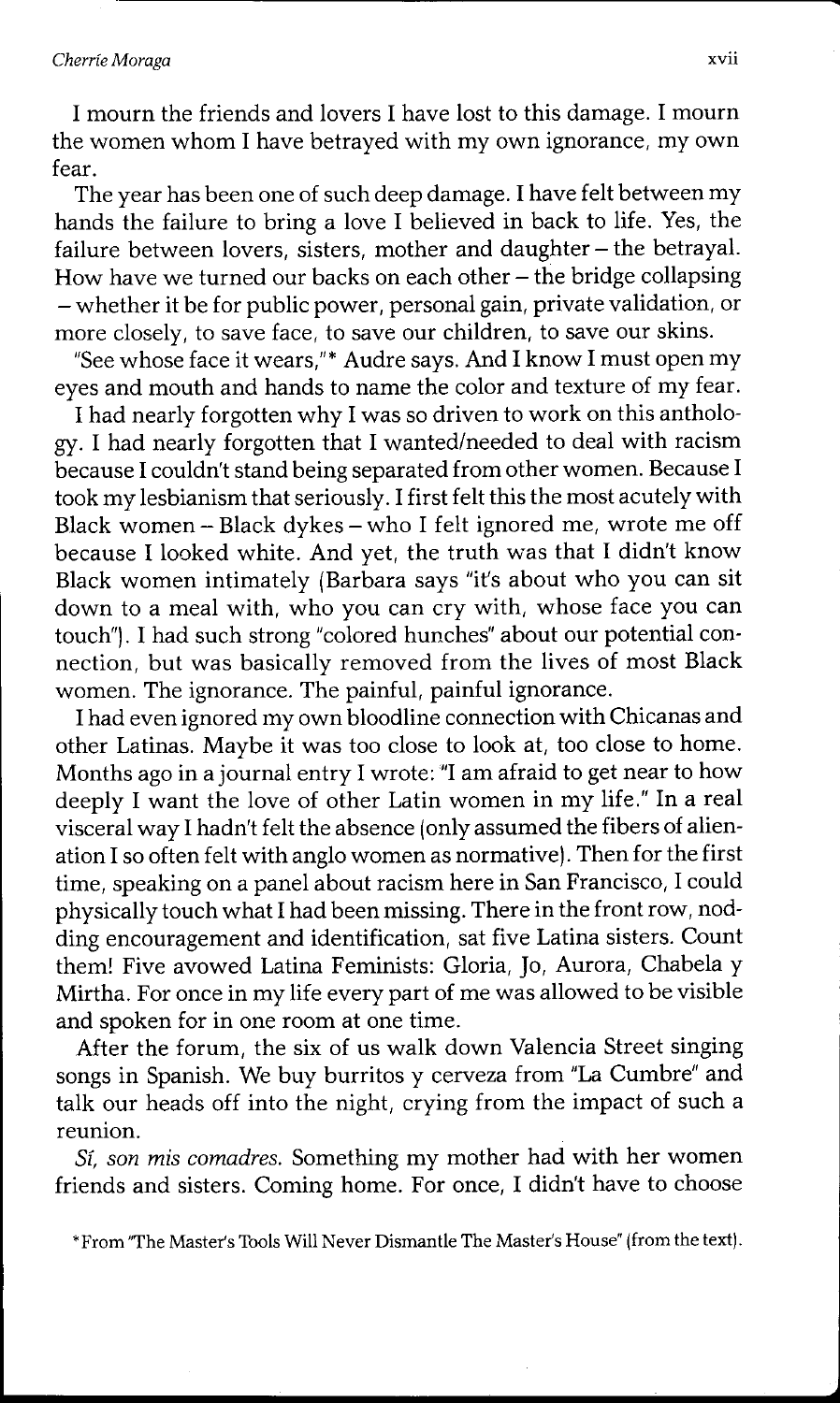I mourn the friends and lovers I have lost to this damage. I mourn the women whom I have betrayed with my own ignorance, my own fear.

The year has been one of such deep damage. I have felt between my hands the failure to bring a love I believed in back to life. Yes, the failure between lovers, sisters, mother and daughter — the betrayal. How have we turned our backs on each other – the bridge collapsing — whether it be for public power, personal gain, private validation, or more closely, to save face, to save our children, to save our skins.

"See whose face it wears,"\* Audre says. And I know I must open my eyes and mouth and hands to name the color and texture of my fear.

I had nearly forgotten why I was so driven to work on this anthology. I had nearly forgotten that I wanted/needed to deal with racism because I couldn't stand being separated from other women. Because I took my lesbianism that seriously. I first felt this the most acutely with Black women — Black dykes — who I felt ignored me, wrote me off because I looked white. And yet, the truth was that I didn't know Black women intimately (Barbara says "it's about who you can sit down to a meal with, who you can cry with, whose face you can touch"). I had such strong "colored hunches" about our potential connection, but was basically removed from the lives of most Black women. The ignorance. The painful, painful ignorance.

I had even ignored my own bloodline connection with Chicanas and other Latinas. Maybe it was too close to look at, too close to home. Months ago in a journal entry I wrote: "I am afraid to get near to how deeply I want the love of other Latin women in my life." In a real visceral way I hadn't felt the absence (only assumed the fibers of alienation I so often felt with anglo women as normative). Then for the first time, speaking on a panel about racism here in San Francisco, I could physically touch what I had been missing. There in the front row, nodding encouragement and identification, sat five Latina sisters. Count them! Five avowed Latina Feminists: Gloria, Jo, Aurora, Chabela y Mirtha. For once in my life every part of me was allowed to be visible and spoken for in one room at one time.

After the forum, the six of us walk down Valencia Street singing songs in Spanish. We buy burritos y cerveza from "La Cumbre" and talk our heads off into the night, crying from the impact of such a reunion.

*Si, son mis comadres.* Something my mother had with her women friends and sisters. Coming home. For once, I didn't have to choose

\* From "The Master's Tools Will Never Dismantle The Master's House" (from the text).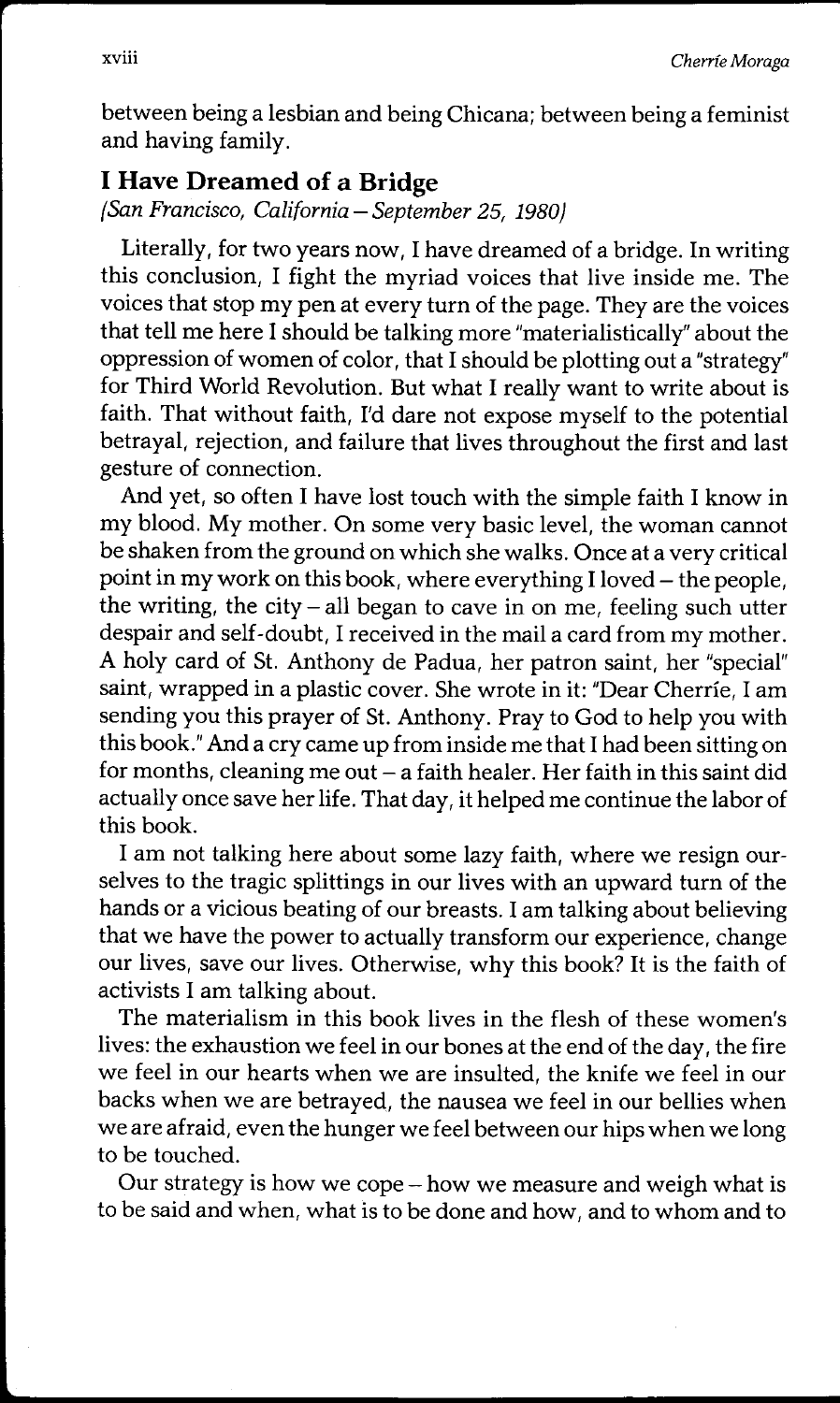between being a lesbian and being Chicana; between being a feminist and having family.

## **I Have Dreamed of a Bridge**

*(San Francisco, California – September 25, 1980)*

Literally, for two years now, I have dreamed of a bridge. In writing this conclusion, I fight the myriad voices that live inside me. The voices that stop my pen at every turn of the page. They are the voices that tell me here I should be talking more "materialistically" about the oppression of women of color, that I should be plotting out a "strategy" for Third World Revolution. But what I really want to write about is faith. That without faith, I'd dare not expose myself to the potential betrayal, rejection, and failure that lives throughout the first and last gesture of connection.

And yet, so often I have lost touch with the simple faith I know in my blood. My mother. On some very basic level, the woman cannot be shaken from the ground on which she walks. Once at a very critical point in my work on this book, where everything I loved – the people, the writing, the city – all began to cave in on me, feeling such utter despair and self-doubt, I received in the mail a card from my mother. A holy card of St. Anthony de Padua, her patron saint, her "special" saint, wrapped in a plastic cover. She wrote in it: "Dear Cherrie, I am sending you this prayer of St. Anthony. Pray to God to help you with this book." And a cry came up from inside me that I had been sitting on for months, cleaning me out – a faith healer. Her faith in this saint did actually once save her life. That day, it helped me continue the labor of this book.

I am not talking here about some lazy faith, where we resign ourselves to the tragic splittings in our lives with an upward turn of the hands or a vicious beating of our breasts. I am talking about believing that we have the power to actually transform our experience, change our lives, save our lives. Otherwise, why this book? It is the faith of activists I am talking about.

The materialism in this book lives in the flesh of these women's lives: the exhaustion we feel in our bones at the end of the day, the fire we feel in our hearts when we are insulted, the knife we feel in our backs when we are betrayed, the nausea we feel in our bellies when we are afraid, even the hunger we feel between our hips when we long to be touched.

Our strategy is how we cope – how we measure and weigh what is to be said and when, what is to be done and how, and to whom and to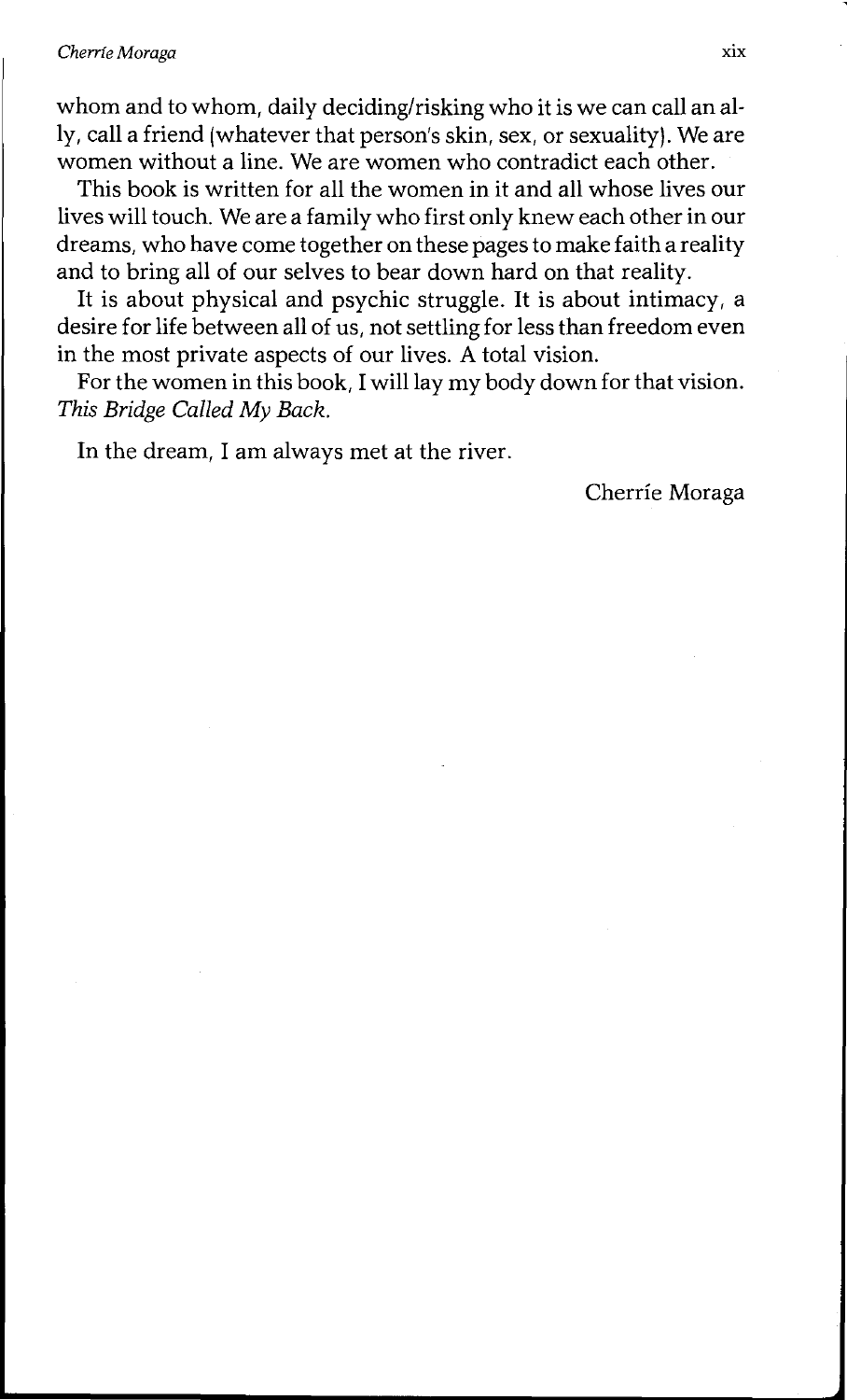#### *Cherrie Moraga xix*

whom and to whom, daily deciding/risking who it is we can call an ally, call a friend (whatever that person's skin, sex, or sexuality). We are women without a line. We are women who contradict each other.

This book is written for all the women in it and all whose lives our lives will touch. We are a family who first only knew each other in our dreams, who have come together on these pages to make faith a reality and to bring all of our selves to bear down hard on that reality.

It is about physical and psychic struggle. It is about intimacy, a desire for life between all of us, not settling for less than freedom even in the most private aspects of our lives. A total vision.

For the women in this book, I will lay my body down for that vision. *This Bridge Called My Bach.*

In the dream, I am always met at the river.

Cherrie Moraga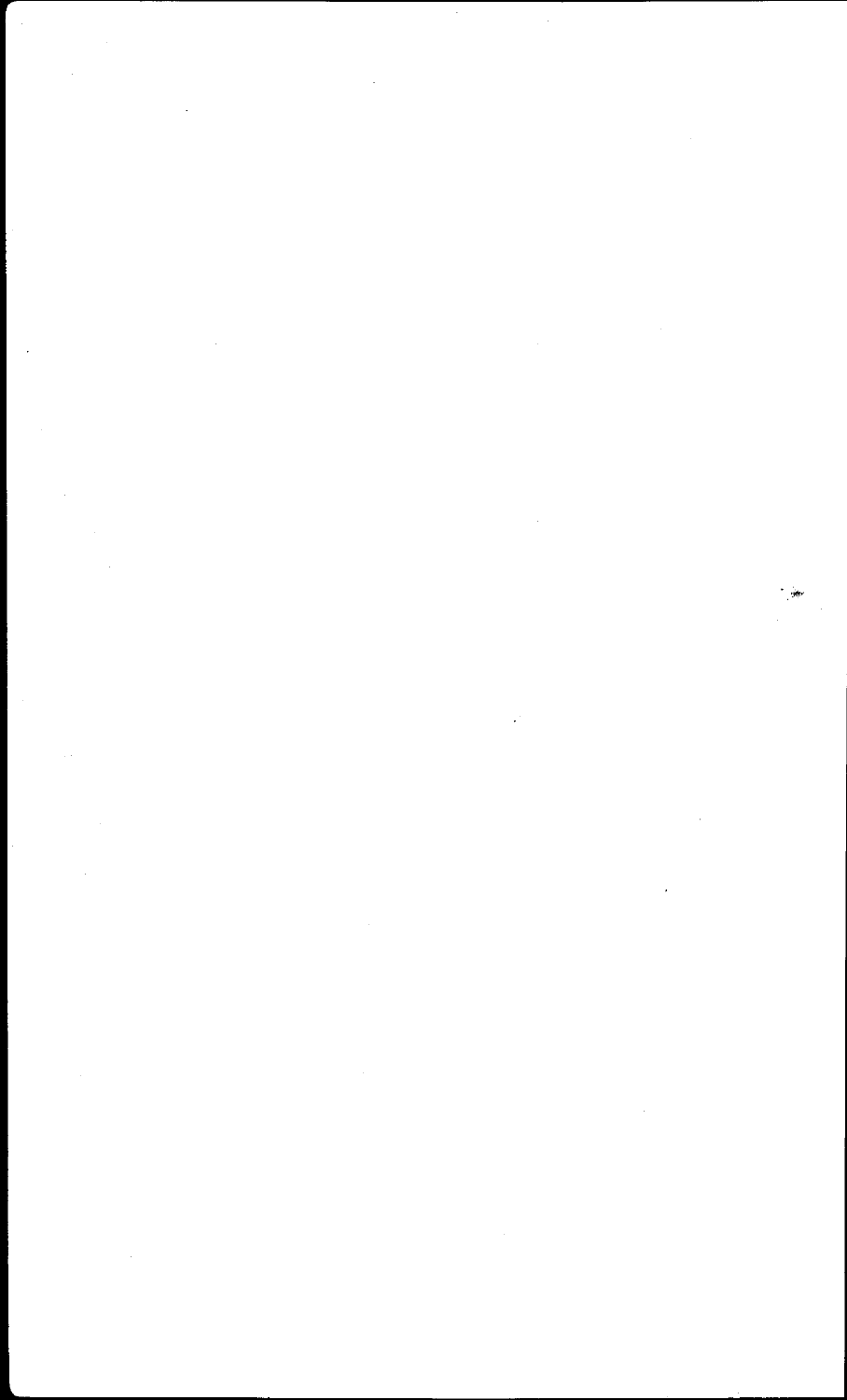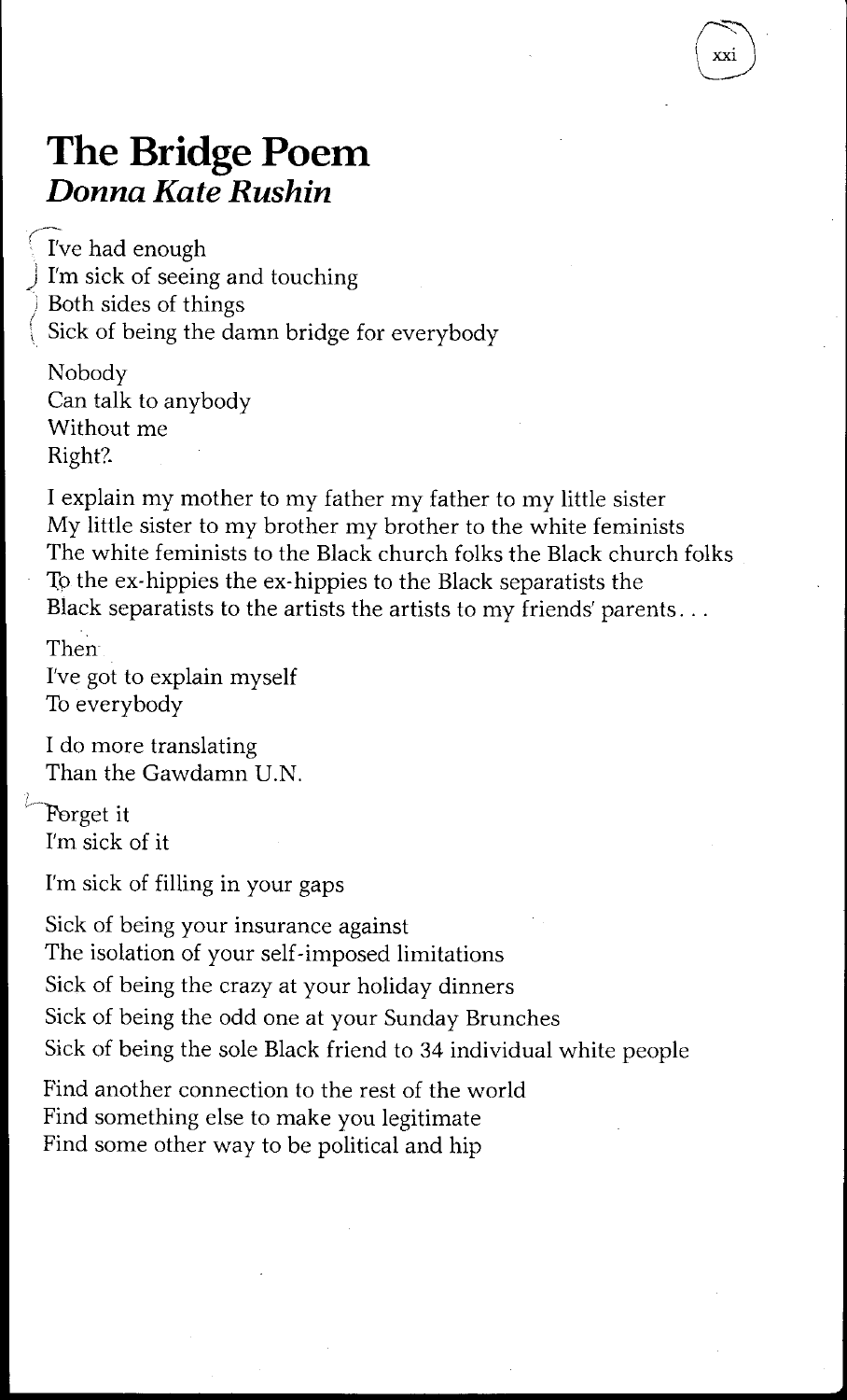# **The Bridge Poem** *Donna Kate Rushin*

I've had enough I'm sick of seeing and touching Both sides of things Sick of being the damn bridge for everybody

Nobody Can talk to anybody Without me Right?.

I explain my mother to my father my father to my little sister My little sister to my brother my brother to the white feminists The white feminists to the Black church folks the Black church folks To the ex-hippies the ex-hippies to the Black separatists the Black separatists to the artists the artists to my friends' parents...

Then

(

I've got to explain myself To everybody

I do more translating Than the Gawdamn U.N.

Porget it I'm sick of it

I'm sick of filling in your gaps

Sick of being your insurance against The isolation of your self-imposed limitations Sick of being the crazy at your holiday dinners Sick of being the odd one at your Sunday Brunches Sick of being the sole Black friend to 34 individual white people

Find another connection to the rest of the world Find something else to make you legitimate Find some other way to be political and hip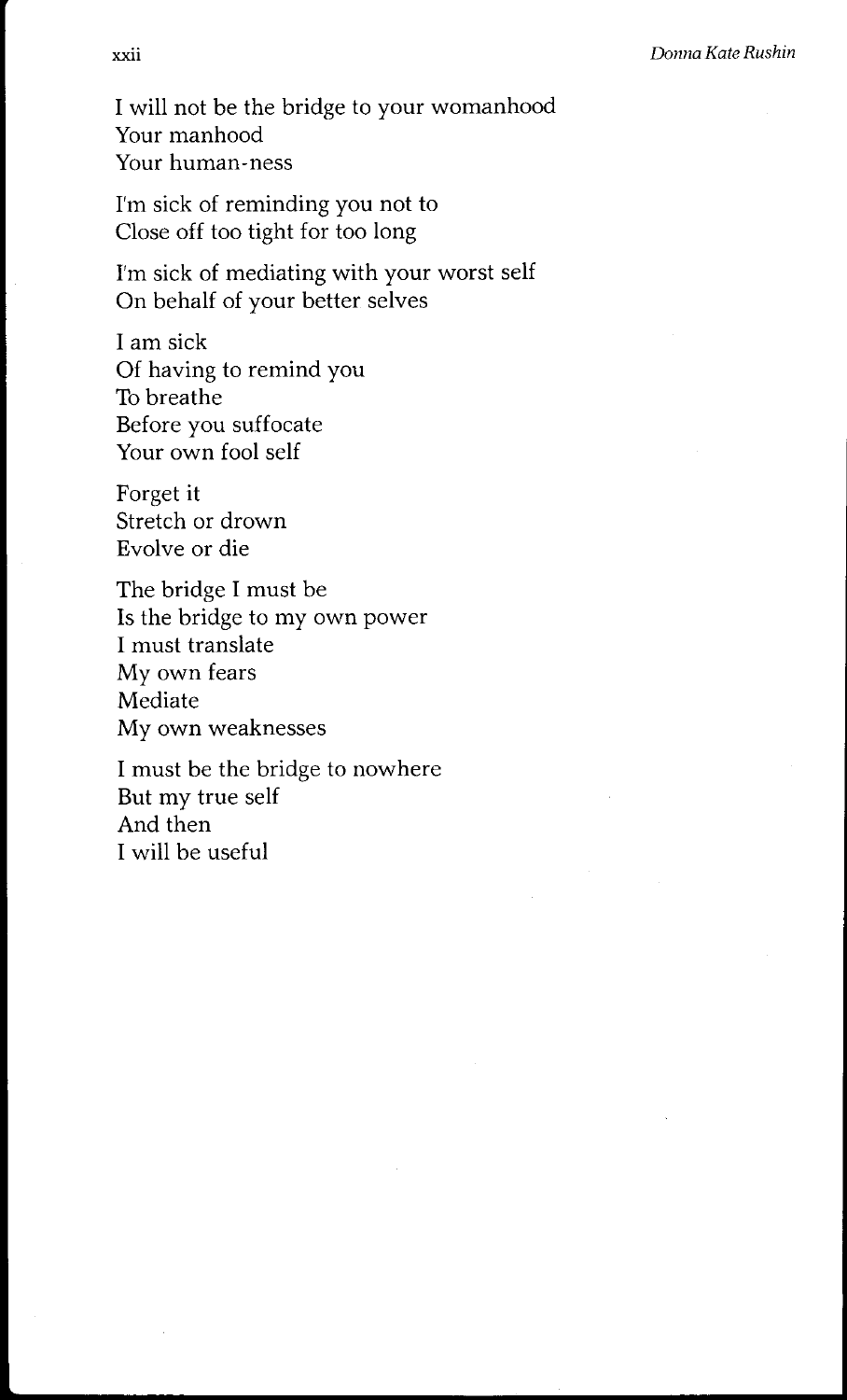I will not be the bridge to your womanhood Your manhood Your human-ness

I'm sick of reminding you not to Close off too tight for too long

I'm sick of mediating with your worst self On behalf of your better selves

I am sick Of having to remind you To breathe Before you suffocate Your own fool self

Forget it Stretch or drown Evolve or die

The bridge I must be Is the bridge to my own power I must translate My own fears Mediate My own weaknesses

I must be the bridge to nowhere But my true self And then I will be useful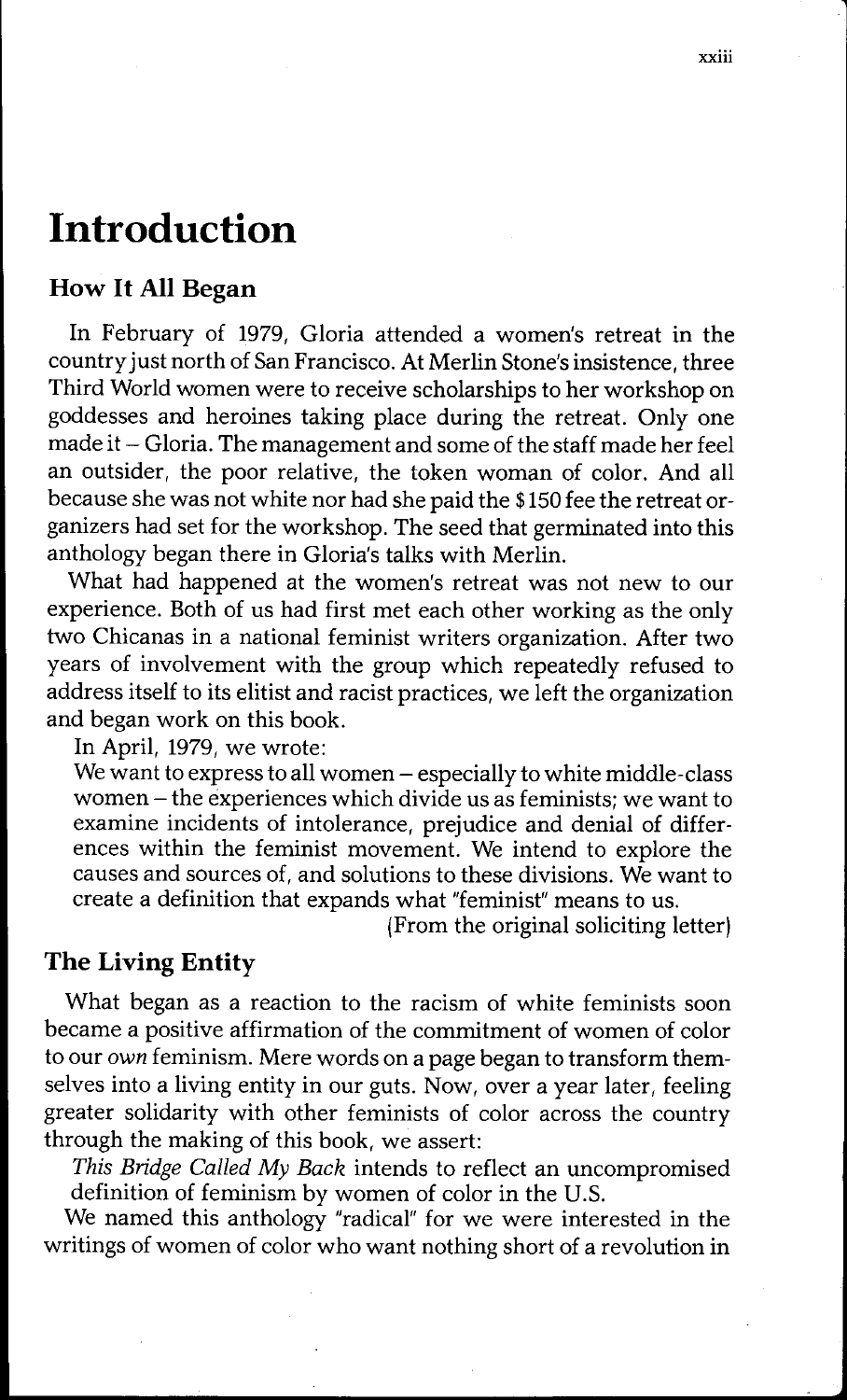# **Introduction**

### **How It All Began**

In February of 1979, Gloria attended a women's retreat in the country just north of San Francisco. At Merlin Stone's insistence, three Third World women were to receive scholarships to her workshop on goddesses and heroines taking place during the retreat. Only one made it – Gloria. The management and some of the staff made her feel an outsider, the poor relative, the token woman of color. And all because she was not white nor had she paid the \$150 fee the retreat organizers had set for the workshop. The seed that germinated into this anthology began there in Gloria's talks with Merlin.

What had happened at the women's retreat was not new to our experience. Both of us had first met each other working as the only two Chicanas in a national feminist writers organization. After two years of involvement with the group which repeatedly refused to address itself to its elitist and racist practices, we left the organization and began work on this book.

In April, 1979, we wrote:

We want to express to all women – especially to white middle-class women – the experiences which divide us as feminists; we want to examine incidents of intolerance, prejudice and denial of differences within the feminist movement. We intend to explore the causes and sources of, and solutions to these divisions. We want to create a definition that expands what "feminist" means to us.

(From the original soliciting letter)

## **The Living Entity**

What began as a reaction to the racism of white feminists soon became a positive affirmation of the commitment of women of color to our own feminism. Mere words on a page began to transform themselves into a living entity in our guts. Now, over a year later, feeling greater solidarity with other feminists of color across the country through the making of this book, we assert:

*This Bridge Called My Bach* intends to reflect an uncompromised definition of feminism by women of color in the U.S.

We named this anthology "radical" for we were interested in the writings of women of color who want nothing short of a revolution in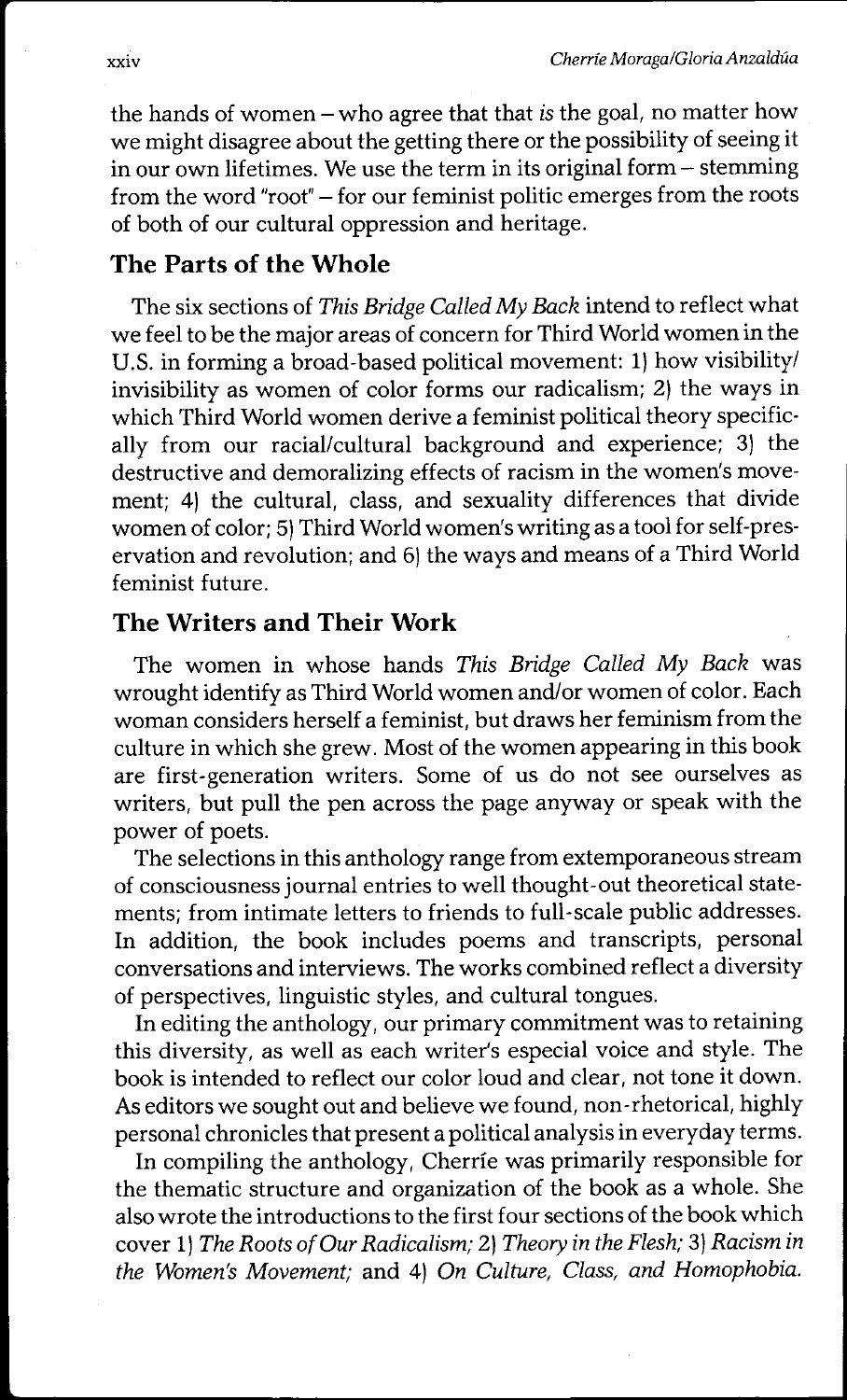the hands of women – who agree that that *is* the goal, no matter how we might disagree about the getting there or the possibility of seeing it in our own lifetimes. We use the term in its original form – stemming from the word "root" – for our feminist politic emerges from the roots of both of our cultural oppression and heritage.

## **The Parts of the Whole**

The six sections of *This Bridge Called My Back* intend to reflect what we feel to be the major areas of concern for Third World women in the U.S. in forming a broad-based political movement: 1) how visibility/ invisibility as women of color forms our radicalism; 2) the ways in which Third World women derive a feminist political theory specifically from our racial/cultural background and experience; 3) the destructive and demoralizing effects of racism in the women's movement; 4) the cultural, class, and sexuality differences that divide women of color; 5) Third World women's writing as a tool for self-preservation and revolution; and 6) the ways and means of a Third World feminist future.

## **The Writers and Their Work**

The women in whose hands *This Bridge Called My Back* was wrought identify as Third World women and/or women of color. Each woman considers herself a feminist, but draws her feminism from the culture in which she grew. Most of the women appearing in this book are first-generation writers. Some of us do not see ourselves as writers, but pull the pen across the page anyway or speak with the power of poets.

The selections in this anthology range from extemporaneous stream of consciousness journal entries to well thought-out theoretical statements; from intimate letters to friends to full-scale public addresses. In addition, the book includes poems and transcripts, personal conversations and interviews. The works combined reflect a diversity of perspectives, linguistic styles, and cultural tongues.

In editing the anthology, our primary commitment was to retaining this diversity, as well as each writer's especial voice and style. The book is intended to reflect our color loud and clear, not tone it down. As editors we sought out and believe we found, non-rhetorical, highly personal chronicles that present a political analysis in everyday terms.

In compiling the anthology, Cherrie was primarily responsible for the thematic structure and organization of the book as a whole. She also wrote the introductions to the first four sections of the book which cover 1) *The Roots of Our Radicalism;* 2) *Theory in the Flesh;* 3) *Racism in the Women's Movement;* and 4) *On Culture, Class, and Homophobia.*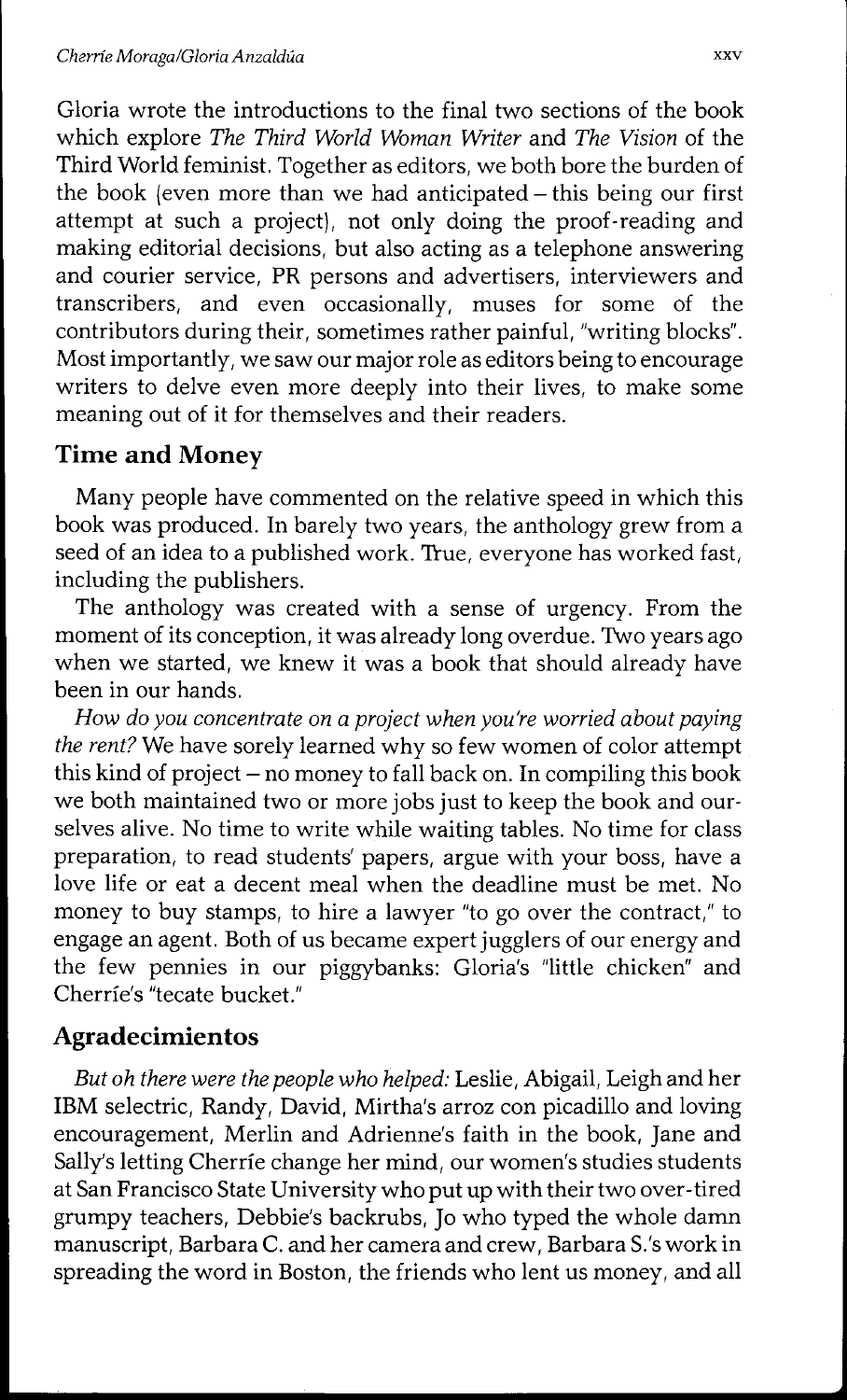Gloria wrote the introductions to the final two sections of the book which explore *The Third World Woman Writer* and *The Vision* of the Third World feminist. Together as editors, we both bore the burden of the book (even more than we had anticipated – this being our first attempt at such a project), not only doing the proof-reading and making editorial decisions, but also acting as a telephone answering and courier service, PR persons and advertisers, interviewers and transcribers, and even occasionally, muses for some of the contributors during their, sometimes rather painful, "writing blocks". Most importantly, we saw our major role as editors being to encourage writers to delve even more deeply into their lives, to make some meaning out of it for themselves and their readers.

## **Time and Money**

Many people have commented on the relative speed in which this book was produced. In barely two years, the anthology grew from a seed of an idea to a published work. True, everyone has worked fast, including the publishers.

The anthology was created with a sense of urgency. From the moment of its conception, it was already long overdue. Two years ago when we started, we knew it was a book that should already have been in our hands.

*How do you concentrate on a project when you're worried about paying the rent?* We have sorely learned why so few women of color attempt this kind of project – no money to fall back on. In compiling this book we both maintained two or more jobs just to keep the book and ourselves alive. No time to write while waiting tables. No time for class preparation, to read students' papers, argue with your boss, have a love life or eat a decent meal when the deadline must be met. No money to buy stamps, to hire a lawyer "to go over the contract," to engage an agent. Both of us became expert jugglers of our energy and the few pennies in our piggybanks: Gloria's "little chicken" and Cherrie's "tecate bucket."

## **Agradecimientos**

*But oh there were the people who helped:* Leslie, Abigail, Leigh and her IBM selectric, Randy, David, Mirtha's arroz con picadillo and loving encouragement, Merlin and Adrienne's faith in the book, Jane and Sally's letting Cherrie change her mind, our women's studies students at San Francisco State University who put up with their two over-tired grumpy teachers, Debbie's backrubs, Jo who typed the whole damn manuscript, Barbara C. and her camera and crew, Barbara S.'s work in spreading the word in Boston, the friends who lent us money, and all